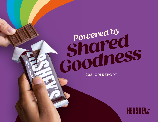## *Powered by*<br> **Powered by**  *Shared*  **COODINESS**

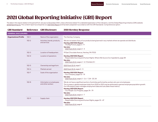## <span id="page-1-0"></span>2021 Global Reporting Initiative (GRI) Report

The data in this report relates to the period from January to December 2021, unless otherwise stated. For a detailed explanation of the indicators, visit the Global Reporting Initiative (GRI) website: [globalreporting.org](http://globalreporting.org). This content report accompanies our [2021 ESG Report](https://www.thehersheycompany.com/content/dam/hershey-corporate/documents/pdf/hershey_2021_esg_report.pdf) and has been prepared in accordance with the GRI Standards: Comprehensive option.

| <b>GRI Standard</b>           | <b>Reference</b> | <b>GRI Disclosure</b>                         | <b>2021 Hershey Response</b>                                                                                                                                                                                                                                                                                                                                                                                            |
|-------------------------------|------------------|-----------------------------------------------|-------------------------------------------------------------------------------------------------------------------------------------------------------------------------------------------------------------------------------------------------------------------------------------------------------------------------------------------------------------------------------------------------------------------------|
| <b>GENERAL DISCLOSURES</b>    |                  |                                               |                                                                                                                                                                                                                                                                                                                                                                                                                         |
| <b>Organizational Profile</b> | $102 - 1$        | Name of the organization                      | The Hershey Company                                                                                                                                                                                                                                                                                                                                                                                                     |
|                               | $102 - 2$        | Activities, brands, products,<br>and services | We are not aware of any of our products being banned in any markets where we operate and distribute.<br>Hershey 2021 ESG Report:<br>$\cdot$ The Big Picture, pages 3 - 9<br>See also:<br>$\cdot$ 2021 Form 10-K, pages 2 - 3                                                                                                                                                                                            |
|                               | $102 - 3$        | Location of headquarters                      | 19 East Chocolate Avenue, Hershey, PA 17033                                                                                                                                                                                                                                                                                                                                                                             |
|                               | $102 - 4$        | Location of operations                        | Hershey 2021 ESG Report:<br>· Responsible Sourcing and Human Rights: Where We Source Our Ingredients, page 38<br>See also:<br>• 2021 Form 10-K, pages 2 - 5, 17, Exhibit 21.1                                                                                                                                                                                                                                           |
|                               | $102 - 5$        | Ownership and legal form                      | 2021 Form 10-K, page 2                                                                                                                                                                                                                                                                                                                                                                                                  |
|                               | $102 - 6$        | Markets served                                | 2021 Form 10-K, pages 2 - 5                                                                                                                                                                                                                                                                                                                                                                                             |
|                               | $102 - 7$        | Scale of the organization                     | Hershey 2021 ESG Report:<br>• Our Company, pages 10 - 19<br>See also:<br>2021 Form 10-K, pages 2 - 3, 6 - 7, 24 - 25, 54                                                                                                                                                                                                                                                                                                |
|                               | $102 - 8$        | Information on employees<br>and other workers | We do not have a significant portion of activities performed by workers who are not employees.<br>The increase in global employee totals from 2020 to 2021 may be attributed to general employee population growth.<br>Our HR analytics team manages employment data and calculates these metrics.<br>Hershey 2021 ESG Report:<br>• Our People: Our Progress, pages 74 - 79<br>See also:<br>• 2021 Form 10-K, pages 6-7 |
|                               | $102 - 9$        | Supply chain                                  | Hershey 2021 ESG Report:<br>• Responsible Sourcing and Human Rights, pages 33 - 47<br>See also:<br>• 2021 Form 10-K, page 4                                                                                                                                                                                                                                                                                             |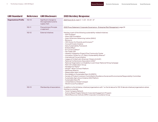| <b>GRI Standard</b>           | <b>Reference</b> | <b>GRI Disclosure</b>                                              | <b>2021 Hershey Response</b>                                                                                                                                                                                                                                                                                                                                                                                                                                                                                                                                                                                                                                                                                                                                                                                                                                                                                                                                                                                                                                                                                                                                                                      |
|-------------------------------|------------------|--------------------------------------------------------------------|---------------------------------------------------------------------------------------------------------------------------------------------------------------------------------------------------------------------------------------------------------------------------------------------------------------------------------------------------------------------------------------------------------------------------------------------------------------------------------------------------------------------------------------------------------------------------------------------------------------------------------------------------------------------------------------------------------------------------------------------------------------------------------------------------------------------------------------------------------------------------------------------------------------------------------------------------------------------------------------------------------------------------------------------------------------------------------------------------------------------------------------------------------------------------------------------------|
| <b>Organizational Profile</b> | $102 - 10$       | Significant changes to<br>the organization and its<br>supply chain | 2021 Form 10-K, pages 2 - 3, 22 - 23, 64 - 67                                                                                                                                                                                                                                                                                                                                                                                                                                                                                                                                                                                                                                                                                                                                                                                                                                                                                                                                                                                                                                                                                                                                                     |
|                               | $102 - 11$       | <b>Precautionary Principle</b><br>or approach                      | 2022 Proxy Statement: Corporate Governance - Enterprise Risk Management, page 24                                                                                                                                                                                                                                                                                                                                                                                                                                                                                                                                                                                                                                                                                                                                                                                                                                                                                                                                                                                                                                                                                                                  |
|                               | $102 - 12$       | <b>External initiatives</b>                                        | Hershey is part of the following sustainability-related initiatives:<br>• AIM-Progress*<br>• Arbor Day Foundation<br>• Asian Americans Advancing Justice (AAAJ)<br>• Bonsucro<br>• CEO Action for Diversity and Inclusion™<br>• Cocoa & Forests Initiative<br>• Dairy Sustainability Framework<br>• EmbraceRace<br>• EU Cocoa Coalition*<br>• Fair Trade USA<br>• Hazleton Integration Project/One Community Center<br>• Innovation Center for U.S. Dairy's Sustainability Alliance <sup>®</sup><br>• International Cocoa Initiative<br>• League of United Latin American Citizens (LULAC)<br>• National Confectioners Association (USA)*<br>• National Organization on Disability's Look Closer National Hiring Campaign<br>• Palm Oil Collaboration Group<br>• Paradigm for Parity®<br>• People + Work Connect Platform<br>• Rainforest Alliance<br>· Responsible Labor Initiative*<br>• Roundtable on Sustainable Palm Oil (RSPO)<br>• Society of Product Licensors Committed to Excellence Social and Environmental Responsibility Committee<br>· Sustainable Agriculture Initiative (SAI) Platform<br>· Sustainable Dairy PA<br>• United Nations Global Compact<br>• World Cocoa Foundation* |
|                               | $102 - 13$       | Membership of associations                                         | In addition to the list below, initiatives/organizations with * on the list above for 102-12 denote initiatives/organizations where<br>Hershey is a member.<br>• Ceres Company Network<br>• Science Based Targets Network Corporate Engagement Program<br>• World Resources Institute (WRI) Corporate Consultative Group                                                                                                                                                                                                                                                                                                                                                                                                                                                                                                                                                                                                                                                                                                                                                                                                                                                                          |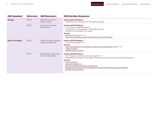| <b>GRI Standard</b>         | <b>Reference</b> | <b>GRI Disclosure</b>                                   | <b>2021 Hershey Response</b>                                                                                                                                                                                                                                                                                                                                                                          |
|-----------------------------|------------------|---------------------------------------------------------|-------------------------------------------------------------------------------------------------------------------------------------------------------------------------------------------------------------------------------------------------------------------------------------------------------------------------------------------------------------------------------------------------------|
| <b>Strategy</b>             | $102 - 14$       | Statement from senior<br>decision-maker                 | Hershey 2021 ESG Report:<br>• The Big Picture: A Message From Michele Buck, page 4                                                                                                                                                                                                                                                                                                                    |
|                             | $102 - 15$       | Key impacts, risks, and<br>opportunities                | Hershey 2021 ESG Report:<br>• Our Company: Materiality, page 13<br>• The Big Picture: A Message From Michele Buck, page 4<br>• The Big Picture: Spotlight 2021, page 5<br>See also:<br>• 2021 Form 10-K, pages 9-16<br>• Task Force on Climate-related Financial Disclosures (TCFD) Report                                                                                                            |
| <b>Ethics and Integrity</b> | $102 - 16$       | Values, principles, standards,<br>and norms of behavior | Hershey 2021 ESG Report:<br>$\cdot$ Our Company, pages 10 - 19<br>See also:<br>· 2022 Proxy Statement: The Hershey Company Purpose and Values, pages 12-16<br>Code of Conduct<br>• Supplier Code of Conduct                                                                                                                                                                                           |
|                             | $102 - 17$       | Mechanisms for advice and<br>concerns about ethics      | Hershey 2021 ESG Report:<br>• Our Company: Corporate Governance, pages 11 - 12<br>• Responsible Sourcing and Human Rights: Grievance Mechanisms and Access to Remedy, page 36<br>See also:<br>Code of Conduct<br>Corporate Governance<br>Ethics & Compliance: Hershey's Concern Line<br>Procedures For Submission And Handling Of Complaints Regarding Compliance Matters<br>Supplier Code of Conduct |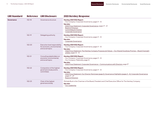| <b>GRI Standard</b> | <b>Reference</b> | <b>GRI Disclosure</b>                                                               | <b>2021 Hershey Response</b>                                                                                                                                                                                                                                |
|---------------------|------------------|-------------------------------------------------------------------------------------|-------------------------------------------------------------------------------------------------------------------------------------------------------------------------------------------------------------------------------------------------------------|
| Governance          | $102 - 18$       | Governance structure                                                                | Hershey 2021 ESG Report:<br>• Our Company: Corporate Governance, pages 11-12<br>See also:<br>2022 Proxy Statement: Corporate Governance, pages 17 - 21<br><b>Board of Directors</b><br>Committees & Charters<br>Corporate Governance                        |
|                     | $102 - 19$       | Delegating authority                                                                | Hershey 2021 ESG Report:<br>• Our Company: Corporate Governance, pages 11 - 12<br>See also:<br>• Corporate Governance                                                                                                                                       |
|                     | $102 - 20$       | Executive-level responsibility<br>for economic, environmental,<br>and social topics | Hershey 2021 ESG Report:<br>• Our Company: Corporate Governance, pages 11 - 12<br>See also:<br>2022 Proxy Statement: The Hershey Company Purpose and Values – Our Shared Goodness Promise – Board Oversight<br>of ESG, pages 12 - 13                        |
|                     | $102 - 21$       | Consulting stakeholders on<br>economic, environmental,<br>and social topics         | Hershey 2021 ESG Report:<br>• Our Company: Corporate Governance, pages 11 - 12<br>• Our Company: Materiality, page 13<br>See also:<br>2022 Proxy Statement: Corporate Governance - Communications with Directors, page 27                                   |
|                     | $102 - 22$       | Composition of the highest<br>governance body and its<br>committees                 | Hershey 2021 ESG Report:<br>• Our Company: Corporate Governance, pages 11-12<br>See also:<br>2022 Proxy Statement: Our Director Nominees (page 2); Governance Highlights (pages 3 - 4); Corporate Governance,<br>pages 17 - 27<br><b>Board of Directors</b> |
|                     | $102 - 23$       | Chair of the highest<br>governance body                                             | Michele Buck is the Chairman of the Board, President and Chief Executive Officer for The Hershey Company.<br>See also:<br>• Our Leadership                                                                                                                  |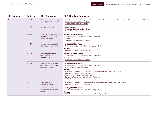| <b>GRI Standard</b> | <b>Reference</b> | <b>GRI Disclosure</b>                                                          | <b>2021 Hershey Response</b>                                                                                                                                                                                                                                                                                                                                           |
|---------------------|------------------|--------------------------------------------------------------------------------|------------------------------------------------------------------------------------------------------------------------------------------------------------------------------------------------------------------------------------------------------------------------------------------------------------------------------------------------------------------------|
| Governance          | $102 - 24$       | Nominating and selecting the<br>highest governance body                        | 2022 Proxy Statement: Corporate Governance-Board Composition and Criteria for Board Membership, pages 17-19<br>• Corporate Governance Guidelines<br>• Governance Committee Charter                                                                                                                                                                                     |
|                     | $102 - 25$       | Conflicts of interest                                                          | • Code of Conduct<br>Corporate Governance Guidelines<br>• Related Person Transaction Policy                                                                                                                                                                                                                                                                            |
|                     | $102 - 26$       | Role of highest governance<br>body in setting purpose,<br>values, and strategy | Hershey 2021 ESG Report:<br>• Our Company: Corporate Governance, pages 11 - 12<br>See also:<br>• Corporate Governance Guidelines                                                                                                                                                                                                                                       |
|                     | $102 - 27$       | Collective knowledge of<br>highest governance body                             | Hershey 2021 ESG Report:<br>• Our Company: Corporate Governance, pages 11 - 12<br>See also:<br>• Corporate Governance Guidelines                                                                                                                                                                                                                                       |
|                     | $102 - 28$       | Evaluating the highest<br>governance body's<br>performance                     | Hershey 2021 ESG Report:<br>• Our Company: Corporate Governance, pages 11 - 12<br>See also:<br>• Corporate Governance Guidelines                                                                                                                                                                                                                                       |
|                     | $102 - 29$       | Identifying and managing<br>economic, environmental,<br>and social impacts     | Hershey 2021 ESG Report:<br>• Our Company: Corporate Governance, pages 11 - 12<br>• Our Company: Materiality, page 13<br>See also:<br>2022 Proxy Statement: The Hershey Company Purpose and Values, pages 12 - 16<br>• Corporate Governance Guidelines<br>· Hershey's Commitment to Human Rights<br>· Statement Against Slavery and Human Trafficking<br>• TCFD Report |
|                     | $102 - 30$       | Effectiveness of risk<br>management processes                                  | · 2022 Proxy Statement: Corporate Governance-Enterprise Risk Management, page 24<br>• Corporate Governance Guidelines                                                                                                                                                                                                                                                  |
|                     | $102 - 31$       | Review of economic,<br>environmental, and social<br>topics                     | Hershey 2021 ESG Report:<br>• Our Company: Corporate Governance, pages 11 - 12<br>See also:<br>• 2022 Proxy Statement: Committees of the Board, pages 21 - 23                                                                                                                                                                                                          |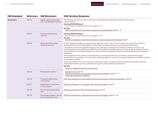| <b>GRI Standard</b> | <b>Reference</b> | <b>GRI Disclosure</b>                                         | <b>2021 Hershey Response</b>                                                                                                                                                                                                                                                                                                                                                                                                                                                                                                                                                                                                                                                                                                                                                                                                                                                                                                                                                                                                                                                                                                                                                               |
|---------------------|------------------|---------------------------------------------------------------|--------------------------------------------------------------------------------------------------------------------------------------------------------------------------------------------------------------------------------------------------------------------------------------------------------------------------------------------------------------------------------------------------------------------------------------------------------------------------------------------------------------------------------------------------------------------------------------------------------------------------------------------------------------------------------------------------------------------------------------------------------------------------------------------------------------------------------------------------------------------------------------------------------------------------------------------------------------------------------------------------------------------------------------------------------------------------------------------------------------------------------------------------------------------------------------------|
| Governance          | $102 - 32$       | Highest governance body's<br>role in sustainability reporting | Michele Buck and Hershey's Board of Directors review Hershey's ESG Report and the material topics<br>covered therein.<br>Hershey 2021 ESG Report:<br>• Our Company: Corporate Governance, pages 11 - 12<br>See also:<br>• 2022 Proxy Statement: The Hershey Company Purpose and Values, pages 12-16                                                                                                                                                                                                                                                                                                                                                                                                                                                                                                                                                                                                                                                                                                                                                                                                                                                                                        |
|                     | $102 - 33$       | Communicating critical<br>concerns                            | Hershey 2021 ESG Report:<br>• Our Company: Corporate Governance, pages 11 - 12<br>See also:<br>• 2022 Proxy Statement: Corporate Governance-Communications with Directors, page 27                                                                                                                                                                                                                                                                                                                                                                                                                                                                                                                                                                                                                                                                                                                                                                                                                                                                                                                                                                                                         |
|                     | $102 - 34$       | Nature and total number<br>of critical concerns               | In 2021, Hershey recorded zero cases that were deemed "critical." Any "critical" concerns are reported to the Ethical<br>Business Practices Committee (EBPC) and the Audit Committee pursuant to our policies and procedures.<br>Compliance concerns are reported through various channels, including but not limited to: Hershey's Concern Line,<br>business partners, Human Resources (HR), Ethics & Compliance, and other parties who have access to either the Concern<br>Line or the Ethics & Compliance department. All concerns are managed and followed closely by the Ethics & Compliance<br>department.<br>Hershey applies severity codes to cases depending on certain parameters such as violation, potential fines and/or<br>involvement of senior leaders. Critical concerns (red) and significant concerns (orange) are reported to the EBPC and Audit<br>Committee for visibility.<br>Issues reported to the Concern Line cover a wide array of topics, including conflicts of interest, general labor practices,<br>employment-related concerns, potential fraud, security and requests for general advice.<br>See also:<br>• Ethics & Compliance: Hershey's Concern Line |
|                     | $102 - 35$       | Remuneration policies                                         | • 2021 Form 10-K page 103<br>2022 Proxy Statement: Compensation Discussion and Analysis, pages 47-79<br>• Corporate Governance Guidelines                                                                                                                                                                                                                                                                                                                                                                                                                                                                                                                                                                                                                                                                                                                                                                                                                                                                                                                                                                                                                                                  |
|                     | $102 - 36$       | Process for determining<br>remuneration                       | 2022 Proxy Statement: Compensation Discussion and Analysis-Setting Compensation, page 54                                                                                                                                                                                                                                                                                                                                                                                                                                                                                                                                                                                                                                                                                                                                                                                                                                                                                                                                                                                                                                                                                                   |
|                     | $102 - 37$       | Stakeholders' involvement<br>in remuneration                  | 2022 Proxy Statement: Compensation Discussion and Analysis, page 54                                                                                                                                                                                                                                                                                                                                                                                                                                                                                                                                                                                                                                                                                                                                                                                                                                                                                                                                                                                                                                                                                                                        |
|                     | $102 - 38$       | Annual total compensation<br>ratio                            | 2022 Proxy Statement: CEO Pay Ratio Disclosure, page 79                                                                                                                                                                                                                                                                                                                                                                                                                                                                                                                                                                                                                                                                                                                                                                                                                                                                                                                                                                                                                                                                                                                                    |
|                     | $102 - 39$       | Percentage increase in annual<br>total compensation ratio     | 2022 Proxy Statement: Compensation Discussion and Analysis, pages 63 - 65                                                                                                                                                                                                                                                                                                                                                                                                                                                                                                                                                                                                                                                                                                                                                                                                                                                                                                                                                                                                                                                                                                                  |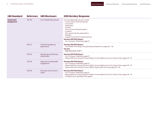| <b>GRI Standard</b>                     | Reference  | <b>GRI Disclosure</b>                     | <b>2021 Hershey Response</b>                                                                                                                                                                                                                                                                                                      |
|-----------------------------------------|------------|-------------------------------------------|-----------------------------------------------------------------------------------------------------------------------------------------------------------------------------------------------------------------------------------------------------------------------------------------------------------------------------------|
| <b>Stakeholder</b><br><b>Engagement</b> | $102 - 40$ | List of stakeholder groups                | Our key stakeholder groups include:<br>• Communities where we operate<br>• Consumers<br>• Employees<br>• Farmers<br>• Government and policymakers<br>• Investors<br>• Non-governmental organizations<br>• Retailers<br>• Suppliers and other business partners<br>Hershey 2021 ESG Report:<br>• Our Company: Materiality, page 13 |
|                                         | $102 - 41$ | Collective bargaining<br>agreements       | Hershey 2021 ESG Report:<br>• Our People: Providing a Caring Employee Experience, pages 65 - 66<br>See also:<br>$\cdot$ 2021 Form 10-K, page 6                                                                                                                                                                                    |
|                                         | $102 - 42$ | Identifying and selecting<br>stakeholders | Hershey 2021 ESG Report:<br>• Our Company: Materiality, page 13<br>• Responsible Sourcing and Human Rights: Human Rights Across Our Value Chain, pages 34 - 37                                                                                                                                                                    |
|                                         | $102 - 43$ | Approach to stakeholder<br>engagement     | Hershey 2021 ESG Report:<br>• Our Company: Materiality, page 13<br>• Responsible Sourcing and Human Rights: Human Rights Across Our Value Chain, pages 34 - 37<br>• Responsible Sourcing and Human Rights: Responsible Sourcing, pages 39 - 42                                                                                    |
|                                         | $102 - 44$ | Key topics and concerns<br>raised         | Hershey 2021 ESG Report:<br>• Our Company: Materiality, page 13<br>• Responsible Sourcing and Human Rights: Human Rights Across Our Value Chain, pages 34 - 37<br>• The Big Picture: Spotlight 2021, page 5                                                                                                                       |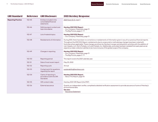| <b>GRI Standard</b>       | <b>Reference</b> | <b>GRI Disclosure</b>                                            | <b>2021 Hershey Response</b>                                                                                                                                                                                                                                                                                                                                                                                                                                                                                                                                                                       |
|---------------------------|------------------|------------------------------------------------------------------|----------------------------------------------------------------------------------------------------------------------------------------------------------------------------------------------------------------------------------------------------------------------------------------------------------------------------------------------------------------------------------------------------------------------------------------------------------------------------------------------------------------------------------------------------------------------------------------------------|
| <b>Reporting Practice</b> | $102 - 45$       | Entities included in the<br>consolidated financial<br>statements | 2021 Form 10-K, page 2                                                                                                                                                                                                                                                                                                                                                                                                                                                                                                                                                                             |
|                           | $102 - 46$       | Defining report content and<br>topic boundaries                  | Hershey 2021 ESG Report:<br>• Our Company: Materiality, page 13<br>$\cdot$ The Big Picture, pages $3 - 9$                                                                                                                                                                                                                                                                                                                                                                                                                                                                                          |
|                           | $102 - 47$       | List of material topics                                          | Hershey 2021 ESG Report:<br>• Our Company: Materiality, page 13                                                                                                                                                                                                                                                                                                                                                                                                                                                                                                                                    |
|                           | $102 - 48$       | Restatements of information                                      | During 2021, there have been no corrections or restatements of information given in any of our previous financial reports.<br>Throughout the 2021 ESG Report, restatements due to scope and/or methodology changes have been noted with<br>footnotes where applicable. These changes are driven by Hershey's merger and acquisition activities with the addition of<br>Lily's Sweets, LLC, Dot's Pretzels, LLC and Pretzels, Inc. Additionally, some data has been restated from past years as we<br>expand our data-collection abilities to be more inclusive of the global scope of the company. |
|                           | $102 - 49$       | Changes in reporting                                             | Hershey 2021 ESG Report:<br>• Our Company: Materiality, page 13<br>$\cdot$ The Big Picture, pages $3 - 9$                                                                                                                                                                                                                                                                                                                                                                                                                                                                                          |
|                           | $102 - 50$       | Reporting period                                                 | This report covers the 2021 calendar year.                                                                                                                                                                                                                                                                                                                                                                                                                                                                                                                                                         |
|                           | $102 - 51$       | Date of most recent report                                       | May 25, 2022                                                                                                                                                                                                                                                                                                                                                                                                                                                                                                                                                                                       |
|                           | $102 - 52$       | Reporting cycle                                                  | Annual                                                                                                                                                                                                                                                                                                                                                                                                                                                                                                                                                                                             |
|                           | $102 - 53$       | Contact point for questions<br>regarding the report              | sustainability@hersheys.com                                                                                                                                                                                                                                                                                                                                                                                                                                                                                                                                                                        |
|                           | $102 - 54$       | Claims of reporting in<br>accordance with the GRI<br>Standards   | Hershey 2021 ESG Report:<br>• About This Report, page 93                                                                                                                                                                                                                                                                                                                                                                                                                                                                                                                                           |
|                           | $102 - 55$       | <b>GRI</b> content index                                         | Hershey 2021 GRI Report (this PDF)                                                                                                                                                                                                                                                                                                                                                                                                                                                                                                                                                                 |
|                           | $102 - 56$       | External assurance                                               | Quantis, an independent verifier, completed a detailed verification assessment to provide assurance of some of Hershey's<br>environmental data.<br>See also:<br>• Assurance Statement                                                                                                                                                                                                                                                                                                                                                                                                              |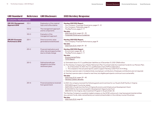<span id="page-9-0"></span>

| <b>GRI Standard</b>                                 | <b>Reference</b>            | <b>GRI Disclosure</b>                                                                | <b>2021 Hershey Response</b>                                                                                                                                                                                                                                                                                                                                                                                                                                                                                                                                                                                                                                                                                      |  |  |
|-----------------------------------------------------|-----------------------------|--------------------------------------------------------------------------------------|-------------------------------------------------------------------------------------------------------------------------------------------------------------------------------------------------------------------------------------------------------------------------------------------------------------------------------------------------------------------------------------------------------------------------------------------------------------------------------------------------------------------------------------------------------------------------------------------------------------------------------------------------------------------------------------------------------------------|--|--|
|                                                     | <b>ECONOMIC PERFORMANCE</b> |                                                                                      |                                                                                                                                                                                                                                                                                                                                                                                                                                                                                                                                                                                                                                                                                                                   |  |  |
| <b>GRI 103: Management</b><br>Approach 2016         | $103-1$                     | Explanation of the material<br>topic and its Boundaries                              | Hershey 2021 ESG Report:<br>• Our Company: Corporate Governance, pages 11 - 12                                                                                                                                                                                                                                                                                                                                                                                                                                                                                                                                                                                                                                    |  |  |
|                                                     | $103 - 2$                   | The management approach<br>and its components                                        | • Our Company: Materiality, page 13<br>$\cdot$ The Big Picture, pages 3 - 9<br>See also:                                                                                                                                                                                                                                                                                                                                                                                                                                                                                                                                                                                                                          |  |  |
|                                                     | $103 - 3$                   | Evaluation of the<br>management approach                                             | · 2021 Form 10-K, pages 24 - 25<br>• Corporate Governance Guidelines                                                                                                                                                                                                                                                                                                                                                                                                                                                                                                                                                                                                                                              |  |  |
| <b>GRI 201: Economic</b><br><b>Performance 2016</b> | $201-1$                     | Direct economic value<br>generated and distributed                                   | Hershey 2021 ESG Report:<br>• Our Company: Financial Performance, page 19<br>See also:<br>• 2021 Form 10-K, pages 24 - 32                                                                                                                                                                                                                                                                                                                                                                                                                                                                                                                                                                                         |  |  |
|                                                     | $201 - 2$                   | Financial implications and<br>other risks and opportunities<br>due to climate change | Hershey 2021 ESG Report:<br>· Environment, pages 48 - 61<br>$\cdot$ The Big Picture, pages 3 - 9<br>See also:<br>• Environmental Policy<br>• TCFD Report                                                                                                                                                                                                                                                                                                                                                                                                                                                                                                                                                          |  |  |
|                                                     | $201 - 3$                   | Defined benefit plan<br>obligations and other<br>retirement plans                    | a) Estimated value of U.S. qualified plan liabilities as of December 31, 2021: \$968 million.<br>b) The Hershey Company has a Master Retirement Plan Trust that holds the investment funds for our Pension Plan.<br>i. As of December 31, 2021, the U.S. qualified plans had a 107% funded status.<br>ii. This is based on the actuarial reports used to support Hershey's 2021 Form 10-K filing.<br>c) Hershey's pension plan is funded entirely via employer contributions. Employee contributions are not required.<br>d) Hershey's pension plan is closed to new hires, but eligible participants continue to accrue benefits.<br>See also:<br>• 2021 Form 10-K, pages 39 - 40<br>• Hershey Careers: Benefits |  |  |
|                                                     | $201 - 4$                   | Financial assistance received<br>from government                                     | In 2021, the company received the following grants and incentives for our Stuarts Draft Facility in Virginia:<br>· \$109,428 August County tax rebate<br>• \$429,000 in funds from the Port of Virginia Economic and Infrastructure Development Grant<br>• \$1,100,000 for the Commonwealth's Development Opportunity Fund<br>• \$88,000 for the Virginia Jobs Investment Program in Stuarts Draft, VA<br>The Hershey Company is a publicly traded company on the NYSE, and as such, may have governmental entities<br>(e.g., pension funds, state-owned banks) as investors/shareholders in the ordinary course of business.<br>See also:<br>• 2021 Form 10-K, page 82                                           |  |  |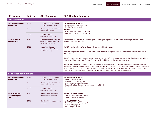| <b>GRI Standard</b>                                  | <b>Reference</b> | <b>GRI Disclosure</b>                                                              | <b>2021 Hershey Response</b>                                                                                                                                                                                                                                                                                                                                                                                                                                                               |
|------------------------------------------------------|------------------|------------------------------------------------------------------------------------|--------------------------------------------------------------------------------------------------------------------------------------------------------------------------------------------------------------------------------------------------------------------------------------------------------------------------------------------------------------------------------------------------------------------------------------------------------------------------------------------|
| <b>MARKET PRESENCE</b>                               |                  |                                                                                    |                                                                                                                                                                                                                                                                                                                                                                                                                                                                                            |
| <b>GRI 103: Management</b><br>Approach 2016          | $103 - 1$        | Explanation of the material<br>topic and its Boundaries                            | Hershey 2021 ESG Report:<br>• Our Company: Materiality, page 13                                                                                                                                                                                                                                                                                                                                                                                                                            |
|                                                      | $103 - 2$        | The management approach<br>and its components                                      | • The Big Picture, pages 3 - 9<br>See also:<br>2021 Form 10-K, pages 2 - 7, 19 - 102                                                                                                                                                                                                                                                                                                                                                                                                       |
|                                                      | $103 - 3$        | Evaluation of the<br>management approach                                           | • Corporate Governance Guidelines                                                                                                                                                                                                                                                                                                                                                                                                                                                          |
| GRI 202: Market<br>Presence 2016                     | $202 - 1$        | Ratios of standard entry level<br>wage by gender compared to<br>local minimum wage | Hershey does not currently monitor or report on employee wages relative to local minimum wage, and there is no<br>established timeline to do so.                                                                                                                                                                                                                                                                                                                                           |
|                                                      | $202 - 2$        | Proportion of senior<br>management hired from the                                  | 87.5% (14 local employees/16 total external hires at significant locations).                                                                                                                                                                                                                                                                                                                                                                                                               |
|                                                      |                  | local community                                                                    | "Senior management" is defined as individuals hired as Senior Manager and above (up to Senior Vice President within<br>the C-Suite).                                                                                                                                                                                                                                                                                                                                                       |
|                                                      |                  |                                                                                    | "Local" is defined as a permanent resident at time of hire in one of the following locations in the USA: Pennsylvania, New<br>Jersey, New York, Ohio, West Virginia, Virginia, Maryland, District of Columbia and Delaware.                                                                                                                                                                                                                                                                |
|                                                      |                  |                                                                                    | "Significant locations of operation" is defined as the following locations: 19 East Office, Amplify 19 East Office, Annville<br>Fulfillment Center, Hazleton Plant, Hbg Intl Airport Flt Ops, HCW Visitors Center, LicensingCo 19 East Office, Reese Plant,<br>Sales Co HCW Visitors Center, Sales Co Office Northeast, SalesCo 19 East Office, Sourcing Co 19 East Office, Sourcing Co<br>Tech Center, Stuarts Draft Plant, Technical Center, West Hershey Plant and Y&S Lancaster Plant. |
| <b>INDIRECT ECONOMIC IMPACTS</b>                     |                  |                                                                                    |                                                                                                                                                                                                                                                                                                                                                                                                                                                                                            |
| GRI 103: Management<br>Approach 2016                 | $103-1$          | Explanation of the material<br>topic and its Boundaries                            | Hershey 2021 ESG Report:<br>• Community, pages 86 - 92                                                                                                                                                                                                                                                                                                                                                                                                                                     |
|                                                      | $103 - 2$        | The management approach<br>and its components                                      | Environment, pages 48 - 61<br>• Our Company: Materiality, page 13<br>· Responsible Sourcing and Human Rights, pages 33 - 47                                                                                                                                                                                                                                                                                                                                                                |
|                                                      | $103 - 3$        | Evaluation of the<br>management approach                                           | • The Big Picture, pages 3 - 9                                                                                                                                                                                                                                                                                                                                                                                                                                                             |
| GRI 203: Indirect<br><b>Economic Impacts</b><br>2016 | $203 - 1$        | Infrastructure investments<br>and services supported                               | Hershey 2021 ESG Report:<br>• Cocoa: Cocoa For Good, page 21<br>• Community, pages $86 - 92$                                                                                                                                                                                                                                                                                                                                                                                               |
|                                                      | $203 - 2$        | Significant indirect economic<br>impacts                                           | Hershey 2021 ESG Report:<br>• Cocoa: Cocoa For Good, page 21<br>• Community, pages 86 - 92<br>· Youth, pages 80 - 85                                                                                                                                                                                                                                                                                                                                                                       |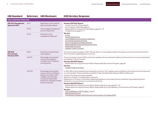| <b>GRI Standard</b>                                            | <b>Reference</b> | <b>GRI Disclosure</b>                                                                                                                                                                          | <b>2021 Hershey Response</b>                                                                                                                                                                                                                                                                                                                                                                                                                                                                                                                                                                                                                                                                                                                                                                                                                                                                           |
|----------------------------------------------------------------|------------------|------------------------------------------------------------------------------------------------------------------------------------------------------------------------------------------------|--------------------------------------------------------------------------------------------------------------------------------------------------------------------------------------------------------------------------------------------------------------------------------------------------------------------------------------------------------------------------------------------------------------------------------------------------------------------------------------------------------------------------------------------------------------------------------------------------------------------------------------------------------------------------------------------------------------------------------------------------------------------------------------------------------------------------------------------------------------------------------------------------------|
| <b>PROCUREMENT PRACTICE</b>                                    |                  |                                                                                                                                                                                                |                                                                                                                                                                                                                                                                                                                                                                                                                                                                                                                                                                                                                                                                                                                                                                                                                                                                                                        |
| <b>GRI 103: Management</b><br>Approach 2016                    | $103 - 1$        | Explanation of the material<br>topic and its Boundaries                                                                                                                                        | Hershey 2021 ESG Report:<br>• Cocoa: Cocoa For Good, page 21<br>• Our Company: Materiality, page 13                                                                                                                                                                                                                                                                                                                                                                                                                                                                                                                                                                                                                                                                                                                                                                                                    |
|                                                                | $103 - 2$        | The management approach<br>and its components                                                                                                                                                  | • Responsible Sourcing and Human Rights, pages 33 - 47<br>$\cdot$ The Big Picture, pages 3 - 9                                                                                                                                                                                                                                                                                                                                                                                                                                                                                                                                                                                                                                                                                                                                                                                                         |
|                                                                | $103 - 3$        | Evaluation of the<br>management approach                                                                                                                                                       | See also:<br>• Cocoa<br>• Human Rights Policy<br>• Living Wage & Income Position Statement<br>• Our Shared Goodness Promise<br>• Priority Ingredients and Raw Materials<br>• Responsible Recruiting & Employment Policy<br>• Responsible Sourcing<br>• Supplier Code of Conduct                                                                                                                                                                                                                                                                                                                                                                                                                                                                                                                                                                                                                        |
| <b>GRI 204:</b><br><b>Procurement</b><br><b>Practices 2016</b> | $204-1$          | Proportion of spending on<br>local suppliers                                                                                                                                                   | Of our procurement budget in 2021, 79% was spent on local suppliers based in the same country as the Hershey facility to<br>which they were supplying goods or services.                                                                                                                                                                                                                                                                                                                                                                                                                                                                                                                                                                                                                                                                                                                               |
|                                                                | G4-FP1           | Percentage of purchased<br>volume from suppliers<br>compliant with company's<br>sourcing policy                                                                                                | Of our purchased volume, 100% comes from suppliers who are required to adhere to the provisions of our sourcing policies<br>and Supplier Code of Conduct.<br>Hershey 2021 ESG Report:<br>· Responsible Sourcing and Human Rights: Responsible Recruitment Program, page 43<br>See also:<br>· Supplier Code of Conduct                                                                                                                                                                                                                                                                                                                                                                                                                                                                                                                                                                                  |
|                                                                | $G4-FP2$         | Percentage of purchased<br>volume, which is verified as<br>being in accordance with<br>credible, internationally<br>recognized responsible<br>production standards, broken<br>down by standard | In 2021, 43% of food ingredients purchased (by cost) from Tier 1 suppliers were certified to a third-party environmental and/<br>or social standard. These standards include Fair Trade USA, Rainforest Alliance, RSPO and Bonsucro.<br>Omission: Purchase volume by standard.<br>Reason for Omission: Confidentiality constraints.<br>Explanation of Omission: Information regarding breakdown of purchases that are verified by responsible production<br>standards is not reported due to commercial sensitivity.<br>Hershey 2021 ESG Report:<br>· Responsible Sourcing and Human Rights: Responsible Sourcing, pages 39 - 42<br>• Responsible Sourcing and Human Rights: Responsible Sourcing Ingredient Commitments and Progress, page 47<br>See also:<br>· 2021 SASB Report: FB-PF-430a.1., page 5<br>• Responsible Sourcing<br>• The Hershey Company RSPO Annual Communication of Progress 2020 |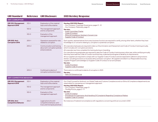| <b>GRI Standard</b>                                  |                        | Reference GRI Disclosure                                                                                                                 | <b>2021 Hershey Response</b>                                                                                                                                                                                                                                                                                                                                                                                                                                                                                                                                                                                                                                                                                                                                                                                                                                                                                                                                        |
|------------------------------------------------------|------------------------|------------------------------------------------------------------------------------------------------------------------------------------|---------------------------------------------------------------------------------------------------------------------------------------------------------------------------------------------------------------------------------------------------------------------------------------------------------------------------------------------------------------------------------------------------------------------------------------------------------------------------------------------------------------------------------------------------------------------------------------------------------------------------------------------------------------------------------------------------------------------------------------------------------------------------------------------------------------------------------------------------------------------------------------------------------------------------------------------------------------------|
| <b>ANTI-CORRUPTION</b>                               |                        |                                                                                                                                          |                                                                                                                                                                                                                                                                                                                                                                                                                                                                                                                                                                                                                                                                                                                                                                                                                                                                                                                                                                     |
| GRI 103: Management<br>Approach 2016                 | $103-1$                | Explanation of the material<br>topic and its Boundaries                                                                                  | Hershey 2021 ESG Report:<br>• Our Company: Corporate Governance, pages 11 - 12                                                                                                                                                                                                                                                                                                                                                                                                                                                                                                                                                                                                                                                                                                                                                                                                                                                                                      |
|                                                      | $103 - 2$              | The management approach<br>and its components                                                                                            | • Our Company: Materiality, page 13<br>See also:<br>• Audit Committee Charter                                                                                                                                                                                                                                                                                                                                                                                                                                                                                                                                                                                                                                                                                                                                                                                                                                                                                       |
|                                                      | $103 - 3$              | Evaluation of the<br>management approach                                                                                                 | Code of Conduct<br>Ethics & Compliance: Hershey's Concern Line<br>· Supplier Code of Conduct                                                                                                                                                                                                                                                                                                                                                                                                                                                                                                                                                                                                                                                                                                                                                                                                                                                                        |
| <b>GRI 205: Anti-</b><br><b>Corruption 2016</b>      | $205 - 1$              | Operations assessed for risks<br>related to corruption                                                                                   | Each quarter, representatives from every business function are required to certify, among other items, whether they have<br>knowledge of, or concerns relating to, corruption or potential corruption.                                                                                                                                                                                                                                                                                                                                                                                                                                                                                                                                                                                                                                                                                                                                                              |
|                                                      | $205 - 2$<br>$205 - 3$ | Communication and training<br>about anti-corruption policies<br>and procedures<br>Confirmed incidents of<br>corruption and actions taken | All corporate employees are required to take our Discrimination and Harassment and Code of Conduct training annually,<br>which includes anti-corruption provisions.<br>All corporate new hires complete this training during on-boarding.<br>Our manufacturing employees are required to take the Code of Conduct training every other year, while certifying annually<br>that they have read the Code of Conduct and that they understand and agree to abide by its requirements.<br>All our suppliers are required to comply with our Supplier Code of Conduct and are expected to adhere to all provisions<br>therein, including provisions on business ethics and anti-corruption. All suppliers enrolled in our Responsible Sourcing<br>Supplier Program acknowledge our Supplier Code of Conduct on an annual basis.<br>See also:<br>• Code of Conduct<br>· Supplier Code of Conduct<br>There were no confirmed incidents of corruption in 2021.<br>See also: |
|                                                      |                        |                                                                                                                                          | • Palm Oil Grievance Log                                                                                                                                                                                                                                                                                                                                                                                                                                                                                                                                                                                                                                                                                                                                                                                                                                                                                                                                            |
| <b>ANTI-COMPETITIVE BEHAVIOR</b>                     |                        |                                                                                                                                          |                                                                                                                                                                                                                                                                                                                                                                                                                                                                                                                                                                                                                                                                                                                                                                                                                                                                                                                                                                     |
| <b>GRI 103: Management</b><br>Approach 2016          | $103 - 1$              | Explanation of the material<br>topic and its Boundaries                                                                                  | Our Chief Counsel for Antitrust, our Global Trade and Customs Compliance and our Ethics & Compliance departments are<br>responsible for overseeing our management approach.                                                                                                                                                                                                                                                                                                                                                                                                                                                                                                                                                                                                                                                                                                                                                                                         |
|                                                      | $103 - 2$              | The management approach<br>and its components                                                                                            | Hershey 2021 ESG Report:<br>• Our Company: Materiality, page 13<br>$\cdot$ The Big Picture, pages 3 - 9                                                                                                                                                                                                                                                                                                                                                                                                                                                                                                                                                                                                                                                                                                                                                                                                                                                             |
|                                                      | $103 - 3$              | Evaluation of the<br>management approach                                                                                                 | See also:<br>• Code of Conduct<br>Procedures For Submission And Handling Of Complaints Regarding Compliance Matters<br>· Supplier Code of Conduct                                                                                                                                                                                                                                                                                                                                                                                                                                                                                                                                                                                                                                                                                                                                                                                                                   |
| <b>GRI 206: Anti-</b><br><b>Competitive Behavior</b> | $206 - 1$              | Legal actions for anti-<br>competitive behavior, anti-<br>trust, and monopoly practices                                                  | No instances of material noncompliance with regulations concerning antitrust occurred in 2021.                                                                                                                                                                                                                                                                                                                                                                                                                                                                                                                                                                                                                                                                                                                                                                                                                                                                      |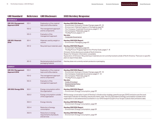<span id="page-13-0"></span>

| <b>GRI Standard</b>                         |           | Reference GRI Disclosure                                         | <b>2021 Hershey Response</b>                                                                                                                                                                                                                                                                                                                                                                                 |  |  |  |  |
|---------------------------------------------|-----------|------------------------------------------------------------------|--------------------------------------------------------------------------------------------------------------------------------------------------------------------------------------------------------------------------------------------------------------------------------------------------------------------------------------------------------------------------------------------------------------|--|--|--|--|
| <b>MATERIALS</b>                            |           |                                                                  |                                                                                                                                                                                                                                                                                                                                                                                                              |  |  |  |  |
| <b>GRI 103: Management</b><br>Approach 2016 | $103 - 1$ | Explanation of the material<br>topic and its Boundaries          | Hershey 2021 ESG Report:<br>• Environment: Acting on Climate Change, pages 49 - 51<br>Environment: Making Progress on Packaging, page 53                                                                                                                                                                                                                                                                     |  |  |  |  |
|                                             | $103 - 2$ | The management approach<br>and its components                    | · Our Company: Corporate Governance, pages 11 - 12<br>• Our Company: Materiality, page 13                                                                                                                                                                                                                                                                                                                    |  |  |  |  |
|                                             | $103 - 3$ | Evaluation of the<br>management approach                         | • The Big Picture, pages 3 - 9<br>See also:<br>• Corporate Governance                                                                                                                                                                                                                                                                                                                                        |  |  |  |  |
| <b>GRI 301: Materials</b><br>2016           | $301-1$   | Materials used by weight or<br>volume                            | Hershey 2021 ESG Report:<br>· Environment: Packaging, page 60                                                                                                                                                                                                                                                                                                                                                |  |  |  |  |
|                                             | $301 - 2$ | Recycled input materials used                                    | Hershey 2021 ESG Report:<br>• Environment: Packaging, page 60<br>· The Big Picture: Progress Against Our Priority Goals, pages 7 - 8<br>Omission: Entire disclosure outside of North America.<br>Reason for Omission: Information unavailable.<br>Explanation of Omission: Recycled input materials are not currently tracked outside of North America. There are no specific<br>plans to report these data. |  |  |  |  |
|                                             | $301 - 3$ | Reclaimed products and their<br>packaging material               | Hershey does not currently reclaim products or packaging.                                                                                                                                                                                                                                                                                                                                                    |  |  |  |  |
| <b>ENERGY</b>                               |           |                                                                  |                                                                                                                                                                                                                                                                                                                                                                                                              |  |  |  |  |
| <b>GRI 103: Management</b><br>Approach 2016 | $103-1$   | Explanation of the material<br>topic and its Boundaries          | Hershey 2021 ESG Report:<br>• Environment: Acting on Climate Change, pages 49 - 51                                                                                                                                                                                                                                                                                                                           |  |  |  |  |
|                                             | $103 - 2$ | The management approach<br>and its components                    | • Our Company: Corporate Governance, pages 11 - 12<br>• Our Company: Materiality, page 13<br>$\cdot$ The Big Picture, pages 3 - 9                                                                                                                                                                                                                                                                            |  |  |  |  |
|                                             | $103 - 3$ | Evaluation of the<br>management approach                         | See also:<br>• Code of Conduct<br>· Environmental Policy<br>· TCFD Report                                                                                                                                                                                                                                                                                                                                    |  |  |  |  |
| <b>GRI 302: Energy 2016</b>                 | $302 - 1$ | Energy consumption within<br>the organization                    | Hershey 2021 ESG Report:<br>• Environment: Energy Consumption, page 59                                                                                                                                                                                                                                                                                                                                       |  |  |  |  |
|                                             | $302 - 2$ | Energy consumption outside<br>of the organization                | While energy conservation is part of Hershey's climate action strategy, greenhouse gas (GHG) emissions are the most<br>meaningful indicator for Hershey, and are the metric used. The CO <sub>2</sub> equivalent of energy consumption outside of the<br>organization is calculated and accounted for in our GHG footprint as part of our Scope 3 (value chain) emissions data.                              |  |  |  |  |
|                                             | $302 - 3$ | Energy intensity                                                 | Hershey 2021 ESG Report:<br>• Environment: Energy Consumption, page 59                                                                                                                                                                                                                                                                                                                                       |  |  |  |  |
|                                             | $302 - 4$ | Reduction of energy<br>consumption                               | Hershey 2021 ESG Report:<br>• Environment: Energy Consumption, page 59                                                                                                                                                                                                                                                                                                                                       |  |  |  |  |
|                                             | $302 - 5$ | Reductions in energy<br>requirements of products<br>and services | Hershey 2021 ESG Report:<br>• Environment: Energy Consumption, page 59                                                                                                                                                                                                                                                                                                                                       |  |  |  |  |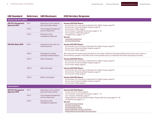| <b>GRI Standard</b>                         |           | Reference GRI Disclosure                                | <b>2021 Hershey Response</b>                                                                                                                                                                                                                    |  |  |  |  |  |
|---------------------------------------------|-----------|---------------------------------------------------------|-------------------------------------------------------------------------------------------------------------------------------------------------------------------------------------------------------------------------------------------------|--|--|--|--|--|
| <b>WATER AND EFFLUENTS</b>                  |           |                                                         |                                                                                                                                                                                                                                                 |  |  |  |  |  |
| <b>GRI 103: Management</b><br>Approach 2016 | $103 - 1$ | Explanation of the material<br>topic and its Boundaries | Hershey 2021 ESG Report:<br>• Environment: Our Journey to Understand Our Water Impact, page 55                                                                                                                                                  |  |  |  |  |  |
|                                             | $103 - 2$ | The management approach<br>and its components           | • Environment: Protecting Water Supplies, page 54<br>· Environment: Water, page 61<br>· Our Company: Corporate Governance, pages 11-12                                                                                                          |  |  |  |  |  |
|                                             | $103 - 3$ | Evaluation of the<br>management approach                | Our Company: Materiality, page 13<br>• The Big Picture, pages 3 - 9<br>See also:<br>• Corporate Governance<br>• Environmental Policy                                                                                                            |  |  |  |  |  |
| GRI 303: Water 2018                         | $303 - 1$ | Interactions with water as a<br>shared resource         | Hershey 2021 ESG Report:<br>• Environment: Our Journey to Understand Our Water Impact, page 55<br>• Environment: Protecting Water Supplies, page 54<br>· Environment: Water, page 61                                                            |  |  |  |  |  |
|                                             | $303 - 2$ | Management of water<br>discharge-related impacts        | We comply with the water quality standards for the quality of effluent discharge established by law for each location in<br>which Hershey operates. The profile of the receiving water body is considered to the extent required by local laws. |  |  |  |  |  |
|                                             | $303 - 3$ | Water withdrawal                                        | Hershey 2021 ESG Report:<br>• Environment: Our Journey to Understand Our Water Impact, page 55<br>• Environment: Protecting Water Supplies, page 54<br>• Environment: Water, page 61                                                            |  |  |  |  |  |
|                                             | $303 - 4$ | Water discharge                                         | Hershey 2021 ESG Report:<br>• Environment: Our Journey to Understand Our Water Impact, page 55<br>• Environment: Protecting Water Supplies, page 54<br>• Environment: Water, page 61                                                            |  |  |  |  |  |
|                                             | $303 - 5$ | Water consumption                                       | Hershey 2021 ESG Report:<br>• Environment: Our Journey to Understand Our Water Impact, page 55<br>• Environment: Protecting Water Supplies, page 54<br>• Environment: Water, page 61                                                            |  |  |  |  |  |
| <b>BIODIVERSITY</b>                         |           |                                                         |                                                                                                                                                                                                                                                 |  |  |  |  |  |
| <b>GRI 103: Management</b><br>Approach 2016 | $103-1$   | Explanation of the material<br>topic and its Boundaries | Hershey 2021 ESG Report:<br>• Cocoa: Cocoa For Good, page 21<br>• Our Company: Corporate Governance, pages 11 - 12                                                                                                                              |  |  |  |  |  |
|                                             | $103 - 2$ | The management approach<br>and its components           | • Our Company: Materiality, page 13<br>· Responsible Sourcing and Human Rights: Responsible Sourcing, pages 39 - 42                                                                                                                             |  |  |  |  |  |
|                                             | $103 - 3$ | Evaluation of the<br>management approach                | • The Big Picture, pages 3 - 9<br>See also:<br>Cocoa & Forests Initiative<br>• Environmental Policy<br>• No Deforestation Policy<br>Responsible Palm Oil Sourcing Policy<br>• Responsible Pulp and Paper Sourcing Policy                        |  |  |  |  |  |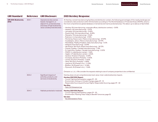| <b>GRI Standard</b>                  | <b>Reference</b> | <b>GRI Disclosure</b>                                                                                                                                 | <b>2021 Hershey Response</b>                                                                                                                                                                                                                                                                                                                                                                                                                                                                                                                                                                                                                                                                                                                                                                                                                                                                                                                                                                                                                                                                                                                                                                                                                                                                                                                                                                                                                                                                                                                                                                                   |
|--------------------------------------|------------------|-------------------------------------------------------------------------------------------------------------------------------------------------------|----------------------------------------------------------------------------------------------------------------------------------------------------------------------------------------------------------------------------------------------------------------------------------------------------------------------------------------------------------------------------------------------------------------------------------------------------------------------------------------------------------------------------------------------------------------------------------------------------------------------------------------------------------------------------------------------------------------------------------------------------------------------------------------------------------------------------------------------------------------------------------------------------------------------------------------------------------------------------------------------------------------------------------------------------------------------------------------------------------------------------------------------------------------------------------------------------------------------------------------------------------------------------------------------------------------------------------------------------------------------------------------------------------------------------------------------------------------------------------------------------------------------------------------------------------------------------------------------------------------|
| <b>GRI 304: Biodiversity</b><br>2016 | $304-1$          | Operational sites owned,<br>leased, managed in, or<br>adjacent to, protected areas<br>and areas of high biodiversity<br>value outside protected areas | At Hershey-owned manufacturing facilities and distribution centers, the following percentages of the nearby landscape are<br>considered under protection within 50 kilometers according to The World Database on Protected Areas (WDPA), which is<br>the most comprehensive global database on terrestrial and marine protected areas. This data is up to date as of April 2022.<br>• Hershey, PA (manufacturing, corporate offices, distribution centers) - 0.81%<br>· Hazleton, PA (manufacturing) - 3.07%<br>• Lancaster, PA (manufacturing) - 0.45%<br>· Stuarts Draft, VA (manufacturing) - 8.45%<br>• Memphis, TN (manufacturing) - 2.56%<br>· Robinson, IL (manufacturing) - 3.92%<br>• Monterrey, Nuevo León, Mexico (manufacturing) - 47.29%<br>· Guadalajara, Jalisco, Mexico (manufacturing) - 22.97%<br>· Mandideep, Madhya Pradesh, India (manufacturing) - 0.0%<br>• Malaysia (manufacturing) - 8.54%<br>· São Roque, São Paulo, Brazil (manufacturing) - 34.72%<br>· Granby, Quebec, Canada (manufacturing) - 1.74%<br>· St. Hyacinthe, Quebec, Canada (manufacturing) - 2.20%<br>• MWDC, IL (distribution center) - 1.26%<br>• Ogden, UT (distribution center) - 6.56%<br>· Gardner, KS (Dot's Pretzels) - 0.59%<br>• Goodyear, AZ (Dot's Pretzels) - 11.50%<br>• Lenexa, KS (Dot's Pretzels) - 0.50%<br>• Velva, ND (Dot's Pretzels) - 0.89%<br>• Lawrence, KS (Pretzel's Inc.) - 0.74%<br>· Bluffton, IN (Pretzel's Inc.) - 0.34%<br>· Plymouth, IN (Pretzel's Inc.) - 1.54%<br>Omission: a. ii, iii, v: We consider the requests relating to size of company properties to be confidential. |
|                                      | $304 - 2$        | Significant impacts of<br>activities, products, and<br>services on biodiversity                                                                       | Hershey does not yet comprehensively track value-chain-wide biodiversity impacts.<br>Hershey 2021 ESG Report:<br>• Cocoa: Fighting Deforestation, pages 29 - 30<br>• Environment: Acting on Climate Change, pages 49 - 51<br>· Responsible Sourcing and Human Rights: Responsible Sourcing, pages 39 - 42<br>See Also:<br>• Palm Oil Grievance Log                                                                                                                                                                                                                                                                                                                                                                                                                                                                                                                                                                                                                                                                                                                                                                                                                                                                                                                                                                                                                                                                                                                                                                                                                                                             |
|                                      | $304 - 3$        | Habitats protected or restored                                                                                                                        | Hershey 2021 ESG Report:<br>• Cocoa: Fighting Deforestation, pages 29 - 30<br>• Environment: Planting Trees Today to Benefit Tomorrow, page 52<br>See also:<br>• No Deforestation Policy                                                                                                                                                                                                                                                                                                                                                                                                                                                                                                                                                                                                                                                                                                                                                                                                                                                                                                                                                                                                                                                                                                                                                                                                                                                                                                                                                                                                                       |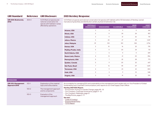**2016**

| <b>GRI Standard</b> | Reference GRI Disclosure | <b>2021 Hershey Response</b> |
|---------------------|--------------------------|------------------------------|
|                     |                          |                              |

|  |  | <b>2021 Hershey Response</b> |
|--|--|------------------------------|
|--|--|------------------------------|

**GRI 304: Biodiversity**  304-4 IUCN Red List species and national conservation list species with habitats in areas affected by operations

IUCN Red List species and national conservation list species with habitats within 50 kilometers of Hershey-owned manufacturing facilities and distribution centers, by level of extinction risk.

| <b>CRITICALLY</b><br><b>ENDANGERED</b> | <b>ENDANGERED</b> | <b>VULNERABLE</b> | <b>NEAR</b><br><b>THREATENED</b> | <b>LEAST</b><br><b>CONCERN</b> |
|----------------------------------------|-------------------|-------------------|----------------------------------|--------------------------------|
| 3                                      | 4                 | 9                 | 11                               | 616                            |
| 5                                      | 11                | 24                | 24                               | 872                            |
| 3                                      | 11                | 21                | 26                               | 751                            |
| 5                                      | 20                | 27                | 28                               | 1,047                          |
| 39                                     | 103               | 301               | 324                              | 2,756                          |
| $\overline{c}$                         | 10 <sup>°</sup>   | 16                | 22                               | 735                            |
| 5                                      | 11                | 20                | 24                               | 721                            |
| $\mathbf{1}$                           | 5                 | 11                | 11                               | 439                            |
| 4                                      | 13                | 21                | 25                               | 856                            |
| 5                                      | $\overline{7}$    | 22                | 28                               | 773                            |
| 5                                      | 9                 | 20                | 22                               | 607                            |
| 7                                      | 16                | 45                | 69                               | 1,625                          |
| $\overline{4}$                         | 9                 | 23                | 22                               | 803                            |
| 2                                      | 3                 | 9                 | 10 <sup>°</sup>                  | 548                            |
| 3                                      | 5                 | 19                | 22                               | 709                            |
|                                        |                   |                   |                                  |                                |

## **EMISSIONS**

| <b>GRI 103: Management</b><br><b>Approach 2016</b> | $103-1$   | Explanation of the material<br>topic and its Boundaries                                                                   | Accountability for managing ESG and sustainability at the management level resides with our Vice President of Global<br>Sustainability and Corporate Communications, who reports to our Chief Supply Chain Officer. |
|----------------------------------------------------|-----------|---------------------------------------------------------------------------------------------------------------------------|---------------------------------------------------------------------------------------------------------------------------------------------------------------------------------------------------------------------|
|                                                    | $103 - 2$ | The management approach<br>and its components                                                                             | Hershey 2021 ESG Report:<br>• Environment: Acting on Climate Change, pages 49 - 51<br>Our Company: Corporate Governance, pages 11 - 12                                                                              |
|                                                    | $103 - 3$ | • Our Company: Materiality, page 13<br>Evaluation of the<br>$\cdot$ The Big Picture, pages $3 - 9$<br>management approach |                                                                                                                                                                                                                     |
|                                                    |           |                                                                                                                           | See also:<br>• Code of Conduct                                                                                                                                                                                      |
|                                                    |           |                                                                                                                           | • Environmental Policy<br>$\cdot$ TCFD Report                                                                                                                                                                       |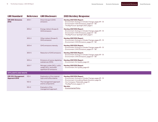| <b>GRI Standard</b>                         | <b>Reference</b> | <b>GRI Disclosure</b>                                                                         | <b>2021 Hershey Response</b>                                                                                                                                                   |
|---------------------------------------------|------------------|-----------------------------------------------------------------------------------------------|--------------------------------------------------------------------------------------------------------------------------------------------------------------------------------|
| <b>GRI 305: Emissions</b><br>2016           | $305 - 1$        | Direct (Scope 1) GHG<br>emissions                                                             | Hershey 2021 ESG Report:<br>• Environment: Acting on Climate Change, pages 49 - 51<br>Environment: GHG Emissions, pages 57 - 58<br>• The Big Picture: Spotlight 2021, page 5   |
|                                             | $305 - 2$        | Energy indirect (Scope 2)<br><b>GHG</b> emissions                                             | Hershey 2021 ESG Report:<br>• Environment: Acting on Climate Change, pages 49 - 51<br>• Environment: GHG Emissions, pages 57 - 58<br>• The Big Picture: Spotlight 2021, page 5 |
|                                             | $305 - 3$        | Other indirect (Scope 3)<br><b>GHG</b> emissions                                              | Hershey 2021 ESG Report:<br>• Environment: Acting on Climate Change, pages 49 - 51<br>• Environment: GHG Emissions, pages 57 - 58                                              |
|                                             | $305 - 4$        | GHG emissions intensity                                                                       | Hershey 2021 ESG Report:<br>• Environment: Acting on Climate Change, pages 49 - 51<br>• Environment: GHG Emissions, pages 57 - 58                                              |
|                                             | $305 - 5$        | <b>Reduction of GHG emissions</b>                                                             | Hershey 2021 ESG Report:<br>• Environment: Acting on Climate Change, pages 49 - 51<br>• Environment: GHG Emissions, pages 57 - 58                                              |
|                                             | $305 - 6$        | Emissions of ozone-depleting<br>substances (ODS)                                              | Hershey 2021 ESG Report:<br>• Environment: Air Quality, page 60                                                                                                                |
|                                             | $305 - 7$        | Nitrogen oxides $(NO_x)$ , sulfur<br>oxides $(SO_x)$ , and other<br>significant air emissions | Hershey 2021 ESG Report:<br>• Environment: Air Quality, page 60                                                                                                                |
| <b>EFFLUENTS AND WASTE</b>                  |                  |                                                                                               |                                                                                                                                                                                |
| <b>GRI 103: Management</b><br>Approach 2016 | $103-1$          | Explanation of the material<br>topic and its Boundaries                                       | Hershey 2021 ESG Report:<br>• Environment: Acting on Climate Change, pages 49 - 51                                                                                             |
|                                             | $103 - 2$        | The management approach<br>and its components                                                 | Environment: Innovating Waste Solutions, page 56<br>• Our Company: Materiality, page 13<br>$\cdot$ The Big Picture, pages $3 - 9$                                              |
|                                             | $103 - 3$        | Evaluation of the<br>management approach                                                      | See also:<br>• Environmental Policy                                                                                                                                            |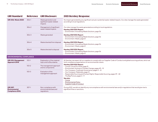| <b>GRI Standard</b>                                               | <b>2021 Hershey Response</b>                                                                                                                            |                                                              |                                                                                                                                                                                                                                                                                                  |
|-------------------------------------------------------------------|---------------------------------------------------------------------------------------------------------------------------------------------------------|--------------------------------------------------------------|--------------------------------------------------------------------------------------------------------------------------------------------------------------------------------------------------------------------------------------------------------------------------------------------------|
| <b>GRI 306: Waste 2020</b>                                        | $306 - 1$                                                                                                                                               | Waste generation and<br>significant waste-related<br>impacts | No impact generated by any significant actual or potential waste-related impacts. Our sites manage the waste generated<br>according to local regulations.                                                                                                                                        |
|                                                                   | <b>Reference</b><br>$306 - 2$<br>$306 - 3$<br>$306 - 4$<br>$306 - 5$<br><b>ENVIRONMENTAL COMPLIANCE</b><br>$103-1$<br>$103 - 2$<br>$103 - 3$<br>$307-1$ | Management of significant<br>waste-related impacts           | Our sites manage the waste generated according to local regulations.<br>Hershey 2021 ESG Report:<br>• Environment: Innovating Waste Solutions, page 56                                                                                                                                           |
|                                                                   |                                                                                                                                                         | Waste generated                                              | Hershey 2021 ESG Report:<br>• Environment: Innovating Waste Solutions, page 56<br>· Environment: Waste, page 61                                                                                                                                                                                  |
|                                                                   |                                                                                                                                                         | Waste diverted from disposal                                 | Hershey 2021 ESG Report:<br>• Environment: Innovating Waste Solutions, page 56<br>· Environment: Waste, page 61                                                                                                                                                                                  |
|                                                                   | Hershey 2021 ESG Report:<br>Waste directed to disposal<br>Environment: Innovating Waste Solutions, page 56<br>Environment: Waste, page 61               |                                                              |                                                                                                                                                                                                                                                                                                  |
|                                                                   |                                                                                                                                                         |                                                              |                                                                                                                                                                                                                                                                                                  |
| GRI 103: Management<br>Approach 2016                              |                                                                                                                                                         | Explanation of the material<br>topic and its Boundaries      | At Hershey, we expect all our suppliers to comply with our Supplier Code of Conduct and global sourcing policies, which set<br>forth compliance expectations on environmental criteria.                                                                                                          |
|                                                                   |                                                                                                                                                         | The management approach<br>and its components                | Hershey 2021 ESG Report:<br>• Cocoa: Cocoa For Good, page 21<br>Environment: Acting on Climate Change, pages 49 - 51                                                                                                                                                                             |
|                                                                   |                                                                                                                                                         | Evaluation of the<br>management approach                     | Our Company: Corporate Governance, pages 11 - 12<br>Our Company: Materiality, page 13<br>Responsible Sourcing and Human Rights: Responsible Sourcing, pages 39 - 42<br>$\cdot$ The Big Picture, pages $3 - 9$<br>See also:<br>Cocoa<br><b>Environmental Policy</b><br>• Supplier Code of Conduct |
| <b>GRI 307:</b><br><b>Environmental</b><br><b>Compliance 2016</b> |                                                                                                                                                         | Non-compliance with<br>environmental laws and<br>regulations | During 2021, we did not identify any noncompliance with environmental laws and/or regulations that would give rise to<br>significant fines or sanctions.                                                                                                                                         |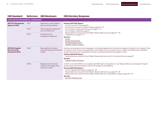| SUPPLIER ENVIRONMENTAL ASSESSMENT                            |                                                                                         |                                                                     |                                                                                                                                                                                                                                                                                                                                                                                                                                                                                                                              |  |  |  |  |  |
|--------------------------------------------------------------|-----------------------------------------------------------------------------------------|---------------------------------------------------------------------|------------------------------------------------------------------------------------------------------------------------------------------------------------------------------------------------------------------------------------------------------------------------------------------------------------------------------------------------------------------------------------------------------------------------------------------------------------------------------------------------------------------------------|--|--|--|--|--|
| <b>GRI 103: Management</b><br>Approach 2016                  | $103-1$                                                                                 | Explanation of the material<br>topic and its Boundaries             | Hershey 2021 ESG Report:<br>• Cocoa: Cocoa For Good, page 21                                                                                                                                                                                                                                                                                                                                                                                                                                                                 |  |  |  |  |  |
|                                                              | $103 - 2$                                                                               | The management approach<br>and its components                       | • Environment: Acting on Climate Change, pages 49 - 51<br>• Our Company: Corporate Governance, pages 11 - 12<br>• Our Company: Materiality, page 13                                                                                                                                                                                                                                                                                                                                                                          |  |  |  |  |  |
|                                                              | $103 - 3$                                                                               | Evaluation of the<br>management approach                            | Responsible Sourcing and Human Rights: Responsible Sourcing, pages 39 - 42<br>$\cdot$ The Big Picture, pages $3 - 9$<br>See also:<br>• Cocoa<br><b>Environmental Policy</b><br>No Deforestation Policy<br>• Supplier Code of Conduct                                                                                                                                                                                                                                                                                         |  |  |  |  |  |
| GRI 308: Supplier<br>Environmental<br><b>Assessment 2016</b> | $308-1$                                                                                 | New suppliers that were<br>screened using environmental<br>criteria | Hershey uses standard contract language in its template agreements that requires suppliers to adhere to our Supplier Code<br>of Conduct, which outlines our expectations with respect to environmental issues. In 2021, we established an ingredient<br>supplier and licensee pre-qualification process; we assessed 32 potential suppliers in 2021.<br>Hershey 2021 ESG Report:<br>• Responsible Sourcing and Human Rights: Responsibly Sourcing Our Goods and Services, page 39<br>See also:<br>• Supplier Code of Conduct |  |  |  |  |  |
|                                                              | $308 - 2$<br>Negative environmental<br>impacts in the supply chain<br>and actions taken |                                                                     | In 2021, we enrolled 100% of our originally identified high-risk suppliers into our Responsible Sourcing Supplier Program.<br>Assessing environmental impact is part of the program's due diligence.<br>Hershey 2021 ESG Report:<br>• Cocoa: Fighting Deforestation, pages 29 - 30<br>· Responsible Sourcing and Human Rights: Responsible Sourcing, pages 39 - 42<br>• Responsible Sourcing and Human Rights: Responsible Sourcing Supplier Program, pages 44 - 46<br>See also:<br>• Palm Oil Grievance Log                 |  |  |  |  |  |

## GRI Standard Reference GRI Disclosure 2021 Hershey Response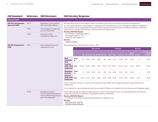<span id="page-20-0"></span>

| <b>GRI Standard</b>                         | <b>Reference</b> | <b>GRI Disclosure</b>                                                                                       | <b>2021 Hershey Response</b>                                                                                                                                                                                                                                                                                                                                                  |                   |        |              |                    |                                        |     |                   |       |               |             |                                     |                |                                              |
|---------------------------------------------|------------------|-------------------------------------------------------------------------------------------------------------|-------------------------------------------------------------------------------------------------------------------------------------------------------------------------------------------------------------------------------------------------------------------------------------------------------------------------------------------------------------------------------|-------------------|--------|--------------|--------------------|----------------------------------------|-----|-------------------|-------|---------------|-------------|-------------------------------------|----------------|----------------------------------------------|
| <b>EMPLOYMENT</b>                           |                  |                                                                                                             |                                                                                                                                                                                                                                                                                                                                                                               |                   |        |              |                    |                                        |     |                   |       |               |             |                                     |                |                                              |
| <b>GRI 103: Management</b><br>Approach 2016 | $103-1$          | Explanation of the material<br>topic and its Boundaries                                                     | We have HR policies for each region in which we operate, which may vary based on local laws and regulations.<br>Our HR Leadership team is responsible for reviewing all HR-related policies and our management approach regularly to                                                                                                                                          |                   |        |              |                    |                                        |     |                   |       |               |             |                                     |                |                                              |
|                                             | $103 - 2$        | The management approach<br>and its components                                                               | ensure they provide an appropriate framework for the company and its employees on standards of behavior and other<br>requirements consistent with Hershey's practices and local requirements.<br>Hershey 2021 ESG Report:<br>• Our Company: Materiality, page 13<br>• Our People, pages 62 - 79<br>• The Big Picture, pages 3 - 9<br>See also:<br>• Code of Conduct           |                   |        |              |                    |                                        |     |                   |       |               |             |                                     |                |                                              |
|                                             | $103 - 3$        | Evaluation of the<br>management approach                                                                    |                                                                                                                                                                                                                                                                                                                                                                               |                   |        |              |                    |                                        |     |                   |       |               |             |                                     |                |                                              |
| <b>GRI 401: Employment</b><br>2016          | $401 - 1$        | New employee hires and                                                                                      | New employee hire and employee turnover - 2021                                                                                                                                                                                                                                                                                                                                |                   |        |              |                    |                                        |     |                   |       |               |             |                                     |                |                                              |
|                                             |                  | employee turnover                                                                                           |                                                                                                                                                                                                                                                                                                                                                                               |                   |        |              |                    | <b>AGE GROUP</b>                       |     |                   |       | <b>GENDER</b> |             |                                     | <b>REGION</b>  |                                              |
|                                             |                  |                                                                                                             |                                                                                                                                                                                                                                                                                                                                                                               |                   |        |              |                    | $<$ 18 18 - 24 25 - 34 35 - 44 45 - 54 |     | $55+$             | Male  | Female        |             | <b>North</b><br>Asia America Europe |                | <b>Latin America</b><br>and the<br>Caribbean |
|                                             |                  |                                                                                                             | <b>New</b><br>employee<br>hires                                                                                                                                                                                                                                                                                                                                               | <b>Total</b><br># | 38     | 2,548        | 2,539              | 1,480                                  | 827 | 438               | 3,572 | 4,298         | 205         | 3,600                               | 12             | 4,053                                        |
|                                             |                  |                                                                                                             | <b>Total for</b><br>2021: 7.870 Rate<br>employees                                                                                                                                                                                                                                                                                                                             |                   | 108.6% | 151.4% 60.8% |                    | 41.1%                                  |     | 23.9% 12.3% 40.7% |       | 55.6% 18.6%   |             | 34.1%                               | 48.0%          | 83.9%                                        |
|                                             |                  |                                                                                                             | <b>Employee</b><br>turnover                                                                                                                                                                                                                                                                                                                                                   | <b>Total</b><br># | 31     | 1,998        | 2,024              | 1,132                                  | 578 | 758               | 2,818 | 3,703         | 244         | 2,679                               | $\overline{1}$ | 3,597                                        |
|                                             |                  |                                                                                                             | <b>Total for</b><br>2021: 6,521 Rate<br>employees                                                                                                                                                                                                                                                                                                                             |                   |        |              | 91.4% 118.7% 48.5% | 31.4%                                  |     | 16.7% 21.4%       | 32.1% |               | 47.9% 22.2% | 25.4%                               | 8.0%           | 74.5%                                        |
|                                             |                  |                                                                                                             | In some instances, the hire or turnover rate may be more than 100%. This is largely attributed to seasonal part-time<br>employment.                                                                                                                                                                                                                                           |                   |        |              |                    |                                        |     |                   |       |               |             |                                     |                |                                              |
|                                             |                  |                                                                                                             | For this disclosure, new employee hire and turnover data for Mexico is included in the Latin America and Caribbean region.                                                                                                                                                                                                                                                    |                   |        |              |                    |                                        |     |                   |       |               |             |                                     |                |                                              |
|                                             | $401 - 2$        | Benefits provided to<br>full-time employees that are<br>not provided to temporary or<br>part-time employees | The benefits Hershey provides vary depending on location and are based, in part, on local requirements with which we<br>comply. See 202-2 for our definition of significant locations of operation.<br>Hershey 2021 ESG Report:<br>• Our People: Providing a Caring Employee Experience, pages 65 - 66<br>See also:<br>2021 Form 10-K, page 83<br>· Hershey Careers: Benefits |                   |        |              |                    |                                        |     |                   |       |               |             |                                     |                |                                              |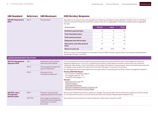| <b>GRI Standard</b><br><b>2021 Hershey Response</b><br>Reference<br><b>GRI Disclosure</b>                                                                                                                                                                                                                                                                                                                                                                                                                                                                                                                                                                                                                                                                                                                                                                                                                                                                                                            |           |                                                         |                                                                                                                                                                                                                                                                                                                                                                                                                                                                                                                                                                                    |               |                                                                            |              |  |  |
|------------------------------------------------------------------------------------------------------------------------------------------------------------------------------------------------------------------------------------------------------------------------------------------------------------------------------------------------------------------------------------------------------------------------------------------------------------------------------------------------------------------------------------------------------------------------------------------------------------------------------------------------------------------------------------------------------------------------------------------------------------------------------------------------------------------------------------------------------------------------------------------------------------------------------------------------------------------------------------------------------|-----------|---------------------------------------------------------|------------------------------------------------------------------------------------------------------------------------------------------------------------------------------------------------------------------------------------------------------------------------------------------------------------------------------------------------------------------------------------------------------------------------------------------------------------------------------------------------------------------------------------------------------------------------------------|---------------|----------------------------------------------------------------------------|--------------|--|--|
| <b>GRI 401: Employment</b><br>2016                                                                                                                                                                                                                                                                                                                                                                                                                                                                                                                                                                                                                                                                                                                                                                                                                                                                                                                                                                   | $401 - 3$ | Parental leave                                          | this data.                                                                                                                                                                                                                                                                                                                                                                                                                                                                                                                                                                         |               |                                                                            |              |  |  |
|                                                                                                                                                                                                                                                                                                                                                                                                                                                                                                                                                                                                                                                                                                                                                                                                                                                                                                                                                                                                      |           |                                                         | <b>Parental leave</b>                                                                                                                                                                                                                                                                                                                                                                                                                                                                                                                                                              | <b>FEMALE</b> | <b>MALE</b>                                                                | <b>TOTAL</b> |  |  |
|                                                                                                                                                                                                                                                                                                                                                                                                                                                                                                                                                                                                                                                                                                                                                                                                                                                                                                                                                                                                      |           |                                                         | <b>Entitled to parental leave</b>                                                                                                                                                                                                                                                                                                                                                                                                                                                                                                                                                  | 43            | 61                                                                         | 104          |  |  |
|                                                                                                                                                                                                                                                                                                                                                                                                                                                                                                                                                                                                                                                                                                                                                                                                                                                                                                                                                                                                      |           |                                                         | <b>Took intermittent leave</b>                                                                                                                                                                                                                                                                                                                                                                                                                                                                                                                                                     | $\circ$       | 8                                                                          | 8            |  |  |
|                                                                                                                                                                                                                                                                                                                                                                                                                                                                                                                                                                                                                                                                                                                                                                                                                                                                                                                                                                                                      |           |                                                         | <b>Took continuous leave</b>                                                                                                                                                                                                                                                                                                                                                                                                                                                                                                                                                       | 37            | 78<br>41<br>$12*$<br>$6*$<br>$18*$<br>35<br>41<br>76<br>100%<br>97%<br>95% |              |  |  |
|                                                                                                                                                                                                                                                                                                                                                                                                                                                                                                                                                                                                                                                                                                                                                                                                                                                                                                                                                                                                      |           |                                                         | <b>Employees who did not elect</b>                                                                                                                                                                                                                                                                                                                                                                                                                                                                                                                                                 |               |                                                                            |              |  |  |
|                                                                                                                                                                                                                                                                                                                                                                                                                                                                                                                                                                                                                                                                                                                                                                                                                                                                                                                                                                                                      |           |                                                         | Returned to work after parental<br>leave                                                                                                                                                                                                                                                                                                                                                                                                                                                                                                                                           |               |                                                                            |              |  |  |
|                                                                                                                                                                                                                                                                                                                                                                                                                                                                                                                                                                                                                                                                                                                                                                                                                                                                                                                                                                                                      |           |                                                         | Return to work rate                                                                                                                                                                                                                                                                                                                                                                                                                                                                                                                                                                |               |                                                                            |              |  |  |
|                                                                                                                                                                                                                                                                                                                                                                                                                                                                                                                                                                                                                                                                                                                                                                                                                                                                                                                                                                                                      |           |                                                         | *Births for many of these families occurred near the end of 2021, and their opportunity to use Hershey's parental leave<br>benefit did not begin until 2022.                                                                                                                                                                                                                                                                                                                                                                                                                       |               |                                                                            |              |  |  |
|                                                                                                                                                                                                                                                                                                                                                                                                                                                                                                                                                                                                                                                                                                                                                                                                                                                                                                                                                                                                      |           |                                                         |                                                                                                                                                                                                                                                                                                                                                                                                                                                                                                                                                                                    |               |                                                                            |              |  |  |
| GRI 103: Management<br>Approach 2016                                                                                                                                                                                                                                                                                                                                                                                                                                                                                                                                                                                                                                                                                                                                                                                                                                                                                                                                                                 | $103 - 1$ | Explanation of the material<br>topic and its Boundaries | In our unionized environments, specific grievance procedures are documented in each of the respective collective<br>bargaining agreements. In our non-unionized environments, similar dispute-resolution mechanisms are in place for<br>employees. Specifically, in the United States, this includes a formal peer-review program where manufacturing employees<br>can appeal certain employment decisions to the Plant Manager or to a panel of their peers.<br>Our HR department and Legal department are responsible for evaluating the handling of labor/management relations. |               |                                                                            |              |  |  |
|                                                                                                                                                                                                                                                                                                                                                                                                                                                                                                                                                                                                                                                                                                                                                                                                                                                                                                                                                                                                      | $103 - 2$ | The management approach<br>and its components           |                                                                                                                                                                                                                                                                                                                                                                                                                                                                                                                                                                                    |               |                                                                            |              |  |  |
|                                                                                                                                                                                                                                                                                                                                                                                                                                                                                                                                                                                                                                                                                                                                                                                                                                                                                                                                                                                                      | $103 - 3$ | Evaluation of the<br>management approach                | Hershey 2021 ESG Report:<br>• Our Company: Materiality, page 13<br>• Our People, pages 62 - 79<br>• The Big Picture, pages 3 - 9<br>See also:<br>• 2021 Form 10-K, page 103                                                                                                                                                                                                                                                                                                                                                                                                        |               |                                                                            |              |  |  |
|                                                                                                                                                                                                                                                                                                                                                                                                                                                                                                                                                                                                                                                                                                                                                                                                                                                                                                                                                                                                      |           |                                                         | • Corporate Governance                                                                                                                                                                                                                                                                                                                                                                                                                                                                                                                                                             |               |                                                                            |              |  |  |
| We adhere to all relevant laws and regulations for maternity and paternity leave globally. Outside of the U.S. individual<br>instances of parental leave are monitored; however, they are not aggregated. There are no specific plans to aggregate<br><b>LABOR/MANAGEMENT RELATIONS</b><br>• Code of Conduct<br>· Ethics & Compliance: Hershey's Concern Line<br>· Hershey's Commitment to Human Rights<br>$402 - 1$<br><b>GRI 402: Labor/</b><br>Minimum notice periods<br>We provide notification periods for significant changes. The exact length of time varies by the significance of the change.<br>regarding operational changes<br>In unionized environments, we would meet and review with the labor representatives ahead of time.<br>Management<br><b>Relations 2016</b><br>GRI-FP3<br>Percentage of working time<br>No working time was lost due to industrial disputes, strikes and/or lockouts in 2021.<br>lost due to industrial disputes,<br>strikes and/or lockouts,<br>by country |           |                                                         |                                                                                                                                                                                                                                                                                                                                                                                                                                                                                                                                                                                    |               |                                                                            |              |  |  |
|                                                                                                                                                                                                                                                                                                                                                                                                                                                                                                                                                                                                                                                                                                                                                                                                                                                                                                                                                                                                      |           |                                                         |                                                                                                                                                                                                                                                                                                                                                                                                                                                                                                                                                                                    |               |                                                                            |              |  |  |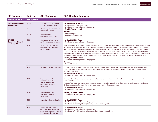| <b>GRI Standard</b>                                              | <b>Reference</b> | <b>GRI Disclosure</b>                                                                                                  | <b>2021 Hershey Response</b>                                                                                                                                                                                                                                                                                                                                                                                                                                                                                                                                                                                                                                                                                                                                                                                                                                                               |
|------------------------------------------------------------------|------------------|------------------------------------------------------------------------------------------------------------------------|--------------------------------------------------------------------------------------------------------------------------------------------------------------------------------------------------------------------------------------------------------------------------------------------------------------------------------------------------------------------------------------------------------------------------------------------------------------------------------------------------------------------------------------------------------------------------------------------------------------------------------------------------------------------------------------------------------------------------------------------------------------------------------------------------------------------------------------------------------------------------------------------|
| <b>OCCUPATIONAL HEALTH AND SAFETY</b>                            |                  |                                                                                                                        |                                                                                                                                                                                                                                                                                                                                                                                                                                                                                                                                                                                                                                                                                                                                                                                                                                                                                            |
| <b>GRI 103: Management</b><br>Approach 2016                      | $103-1$          | Explanation of the material<br>topic and its Boundaries                                                                | Hershey 2021 ESG Report:<br>• Our Company: Materiality, page 13<br>• Our People: Keeping People Safe, page 64                                                                                                                                                                                                                                                                                                                                                                                                                                                                                                                                                                                                                                                                                                                                                                              |
|                                                                  | $103 - 2$        | The management approach<br>and its components                                                                          | $\cdot$ The Big Picture, pages 3 - 9<br>See also:                                                                                                                                                                                                                                                                                                                                                                                                                                                                                                                                                                                                                                                                                                                                                                                                                                          |
|                                                                  | $103 - 3$        | Evaluation of the<br>management approach                                                                               | • Code of Conduct<br>· Corporate Governance                                                                                                                                                                                                                                                                                                                                                                                                                                                                                                                                                                                                                                                                                                                                                                                                                                                |
| <b>GRI 403:</b><br><b>Occupational Health</b><br>and Safety 2018 | $403 - 1$        | Occupational health and<br>safety management system                                                                    | Hershey 2021 ESG Report:<br>• Our People: Keeping People Safe, page 64                                                                                                                                                                                                                                                                                                                                                                                                                                                                                                                                                                                                                                                                                                                                                                                                                     |
|                                                                  | $403 - 2$        | Hazard identification, risk<br>assessment, and incident<br>investigation                                               | Hershey uses job hazard assessment and analysis tools to conduct risk assessments for employees and for workers who are not<br>employees but whose work and/or workplace is controlled by the organization. Our new Environmental, Health and Safety<br>(EHS) information management system (SAP) allows workers to report work-related hazards and hazardous situations. Any<br>incidents that occur are reported on our internal SAP database, which collects and tracks EHS data from our sites worldwide.<br>If an injury is involved, once the employee has received any required treatment the supervisor and witnesses perform a root-cause<br>analysis so that learnings can be incorporated into our processes and improvements can be implemented into our approach.<br>Hershey 2021 ESG Report:<br>• Our People: Keeping People Safe, page 64<br>See also:<br>• Code of Conduct |
|                                                                  | $403 - 3$        | Occupational health services                                                                                           | Our manufacturing sites conduct compliance-mandated screenings and health and wellness screenings for employees.<br>Hershey's corporate occupational health group provides guidance on occupational health screening programs to our<br>manufacturing sites.<br>Hershey 2021 ESG Report:<br>• Our People: Keeping People Safe, page 64                                                                                                                                                                                                                                                                                                                                                                                                                                                                                                                                                     |
|                                                                  | $403 - 4$        | Worker participation,<br>consultation, and<br>communication on<br>occupational health<br>and safety                    | The majority of Hershey manufacturing plants have health and safety committees that are made up of employees from<br>across the site.<br>As part of our continual improvement process, we are developing guidelines for the sites to follow in order to standardize<br>EHS committees and to maximize employee engagement on these committees.<br>Hershey 2021 ESG Report:<br>• Our People: Keeping People Safe, page 64                                                                                                                                                                                                                                                                                                                                                                                                                                                                   |
|                                                                  | $403 - 5$        | Worker training on<br>occupational health<br>and safety                                                                | Hershey 2021 ESG Report:<br>• Our People: Keeping People Safe, page 64                                                                                                                                                                                                                                                                                                                                                                                                                                                                                                                                                                                                                                                                                                                                                                                                                     |
|                                                                  | $403 - 6$        | Promotion of worker health                                                                                             | Hershey 2021 ESG Report:<br>· Our People: Keeping People Safe, page 64<br>• Our People: Providing a Caring Employee Experience, pages 65 - 66                                                                                                                                                                                                                                                                                                                                                                                                                                                                                                                                                                                                                                                                                                                                              |
|                                                                  | $403 - 7$        | Prevention and mitigation<br>of occupational health and<br>safety impacts directly linked<br>by business relationships | Hershey 2021 ESG Report:<br>• Our People: Keeping People Safe, page 64<br>• Our People: Providing a Caring Employee Experience, pages 65 - 66                                                                                                                                                                                                                                                                                                                                                                                                                                                                                                                                                                                                                                                                                                                                              |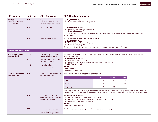| <b>GRI Standard</b>                                              | <b>Reference</b> | <b>GRI Disclosure</b>                                                                      | <b>2021 Hershey Response</b>                                                                                                                                                                                                                                                  |              |               |             |  |
|------------------------------------------------------------------|------------------|--------------------------------------------------------------------------------------------|-------------------------------------------------------------------------------------------------------------------------------------------------------------------------------------------------------------------------------------------------------------------------------|--------------|---------------|-------------|--|
| <b>GRI 403:</b><br><b>Occupational Health</b><br>and Safety 2018 | $403 - 8$        | Workers covered by an<br>occupational health and<br>safety management system               | Hershey 2021 ESG Report:<br>· Our People: Keeping People Safe, page 64                                                                                                                                                                                                        |              |               |             |  |
|                                                                  | $403 - 9$        | Work-related injuries                                                                      | Hershey 2021 ESG Report:<br>• Our People: Keeping People Safe, page 64<br>• Our People: Safety, page 79<br>Omission: a. ii, a. iv, b, c, International commercial operations: We consider the remaining requests of this indicator to<br>be confidential.                     |              |               |             |  |
|                                                                  | $403 - 10$       | Work-related ill health                                                                    | We had zero work-related deaths from ill health in 2021.<br>Hershey 2021 ESG Report:<br>• Our People: Keeping People Safe, page 64<br>• Our People: Safety, page 79<br>Omission: a. ii-iii, b. ii-iii, c: We consider work-related ill health to be confidential information. |              |               |             |  |
| <b>TRAINING AND EDUCATION</b>                                    |                  |                                                                                            |                                                                                                                                                                                                                                                                               |              |               |             |  |
| <b>GRI 103: Management</b><br>Approach 2016                      | $103-1$          | Explanation of the material<br>topic and its Boundaries                                    | Our Senior Vice President, Chief Human Resources Officer has strategic oversight over Hershey's HR policies and<br>talent management.                                                                                                                                         |              |               |             |  |
|                                                                  | $103 - 2$        | The management approach<br>and its components                                              | Hershey 2021 ESG Report:<br>• Our Company: Materiality, page 13<br>· Our People: Providing a Caring Employee Experience, pages 65 - 66<br>$\cdot$ The Big Picture, pages $3 - 9$<br>See also:<br>• Code of Conduct<br>• Corporate Governance                                  |              |               |             |  |
|                                                                  | $103 - 3$        | Evaluation of the<br>management approach                                                   |                                                                                                                                                                                                                                                                               |              |               |             |  |
| GRI 404: Training and                                            | 404-1            | Average hours of training per<br>year per employee                                         | 2021 average hours of training per year per employee                                                                                                                                                                                                                          |              |               |             |  |
| <b>Education 2016</b>                                            |                  |                                                                                            |                                                                                                                                                                                                                                                                               | <b>TOTAL</b> | <b>FEMALE</b> | <b>MALE</b> |  |
|                                                                  |                  |                                                                                            | <b>Total</b>                                                                                                                                                                                                                                                                  | 9.6          | 8.4           | 10.6        |  |
|                                                                  |                  |                                                                                            | <b>Full-time</b>                                                                                                                                                                                                                                                              | 9.8          | 8.6           | 10.9        |  |
|                                                                  |                  |                                                                                            | Part-time                                                                                                                                                                                                                                                                     | 6.7          | 6.6           | 6.9         |  |
|                                                                  |                  |                                                                                            | Note: The average hours of training shown above are based only on training hours logged through Hershey's Learning and Development<br>Program. These hours do not account for outside team or individual training programs not offered through Hershey's centralized system.  |              |               |             |  |
|                                                                  | $404 - 2$        | Programs for upgrading<br>employee skills and transition<br>assistance programs            | Hershey 2021 ESG Report:<br>• Our People: More Pathways to GROW, pages 71 - 72<br>• Our People: Providing a Caring Employee Experience, pages 65 - 66<br>• Our People: Stronger Together, page 63<br>See also:<br>• Hershey Careers: Benefits                                 |              |               |             |  |
|                                                                  | $404 - 3$        | Percentage of employees<br>receiving regular performance<br>and career development reviews | Salaried employees receive regular performance and career-development reviews.                                                                                                                                                                                                |              |               |             |  |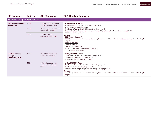| <b>GRI Standard</b>                                               | <b>Reference</b> | <b>GRI Disclosure</b>                                        | <b>2021 Hershey Response</b>                                                                                                                                                                                                                                                                                                                        |
|-------------------------------------------------------------------|------------------|--------------------------------------------------------------|-----------------------------------------------------------------------------------------------------------------------------------------------------------------------------------------------------------------------------------------------------------------------------------------------------------------------------------------------------|
| DIVERSITY AND EQUAL OPPORTUNITY                                   |                  |                                                              |                                                                                                                                                                                                                                                                                                                                                     |
| <b>GRI 103: Management</b><br>Approach 2016                       | $103 - 1$        | Explanation of the material<br>topic and its Boundaries      | Hershey 2021 ESG Report:<br>• Our Company: Corporate Governance, pages 11 - 12                                                                                                                                                                                                                                                                      |
|                                                                   | $103 - 2$        | The management approach<br>and its components                | • Our Company: Materiality, page 13<br>• Our People: Accelerating DEI Efforts at Hershey, page 67<br>• Responsible Sourcing and Human Rights: Human Rights Across Our Value Chain, pages 34 - 37                                                                                                                                                    |
|                                                                   | $103 - 3$        | Evaluation of the<br>management approach                     | $\cdot$ The Big Picture, pages $3 - 9$<br>See also:<br>2021 Form 10-K, page 7<br>2022 Proxy Statement: The Hershey Company Purpose and Values-Our Shared Goodness Promise-Our People,<br>page 15<br><b>Board of Directors</b><br>Code of Conduct<br>Corporate Governance<br>Equal Employment Opportunity (EEO) Policy<br>• Supplier Code of Conduct |
| <b>GRI 405: Diversity</b><br>and Equal<br><b>Opportunity 2016</b> | $405 - 1$        | Diversity of governance<br>bodies and employees              | Hershey 2021 ESG Report:<br>• Our Company: Corporate Governance, pages 11 - 12<br>• Our People: Our Progress, pages 74 - 79<br>• The Big Picture: Spotlight 2021, page 5                                                                                                                                                                            |
|                                                                   | $405 - 2$        | Ratio of basic salary and<br>remuneration of women<br>to men | Hershey 2021 ESG Report:<br>• Our People: Accelerating DEI Efforts at Hershey, page 67<br>• Our People: Our Progress, pages 74 - 79<br>• The Big Picture: Progress Against Our Priority Goals, pages 7 - 8<br>See also:<br>2022 Proxy Statement: The Hershey Company Purpose and Values-Our Shared Goodness Promise-Our People,<br>page 15          |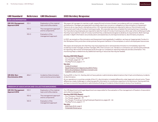| <b>GRI Standard</b>                                     | <b>Reference</b> | <b>GRI Disclosure</b>                                       | <b>2021 Hershey Response</b>                                                                                                                                                                                                                                                                                                                                                                                                                            |
|---------------------------------------------------------|------------------|-------------------------------------------------------------|---------------------------------------------------------------------------------------------------------------------------------------------------------------------------------------------------------------------------------------------------------------------------------------------------------------------------------------------------------------------------------------------------------------------------------------------------------|
| <b>NON-DISCRIMINATION</b>                               |                  |                                                             |                                                                                                                                                                                                                                                                                                                                                                                                                                                         |
| <b>GRI 103: Management</b><br>Approach 2016             | $103 - 1$        | Explanation of the material<br>topic and its Boundaries     | We expect all managers to maintain a safe, respectful and inclusive climate in accordance with our company values<br>and behaviors. Managers are expected to promptly report any concerns or allegations of discrimination or harassment.                                                                                                                                                                                                               |
|                                                         | $103 - 2$        | The management approach<br>and its components               | Failure to do so may result in disciplinary action. All corporate employees are required to take our Discrimination and<br>Harassment and Code of Conduct training annually. All corporate new hires complete this training during on-boarding.<br>Our manufacturing employees are required to take the Code of Conduct training every other year, while certifying annually                                                                            |
|                                                         | $103 - 3$        | Evaluation of the<br>management approach                    | that they have read the Code of Conduct and that they understand and agree to abide by its requirements. Both trainings<br>provide in-depth information around education and awareness of, and responsiveness to, discriminatory situations.                                                                                                                                                                                                            |
|                                                         |                  |                                                             | In 2021, we revised our Discrimination and Harassment training globally. In addition, we have an Inappropriate Conduct in<br>the Workplace Policy and other similar policies that govern behavior in the workplace, to which all employees have access.                                                                                                                                                                                                 |
|                                                         |                  |                                                             | We expect all employees who feel they may have experienced or witnessed discrimination to immediately report the<br>incident(s) to their manager, another manager, HR or the Concern Line. Vendors or contractors can use the same methods<br>for reporting. We monitor all employee issues through our compliance-reporting measures and documentation. This<br>monitoring helps us determine any additional training or resources that may be needed. |
|                                                         |                  |                                                             | Hershey 2021 ESG Report:<br>• Our Company: Materiality, page 13<br>• Our People, pages 62 - 79<br>• The Big Picture, pages 3 - 9<br>See also:<br>• Code of Conduct                                                                                                                                                                                                                                                                                      |
|                                                         |                  |                                                             | • Equal Employment Opportunity (EEO) Policy<br>· Ethics & Compliance: Hershey's Concern Line<br>· Supplier Code of Conduct                                                                                                                                                                                                                                                                                                                              |
| <b>GRI 406: Non-</b><br><b>Discrimination 2016</b>      | $406 - 1$        | Incidents of discrimination<br>and corrective actions taken | During 2021, in the U.S., Hershey did not have judicial or administrative determinations that it had committed any incidents<br>of discrimination.                                                                                                                                                                                                                                                                                                      |
|                                                         |                  |                                                             | At our operations in countries outside of the U.S., discrimination is treated differently under legal and cultural norms. These<br>differences create challenges in collecting specific information to constitute a response to this disclosure. Having said that,<br>we have no record of any judicial or administrative findings of incidents of discrimination at any of our locations.                                                              |
| <b>FREEDOM OF ASSOCIATION AND COLLECTIVE BARGAINING</b> |                  |                                                             |                                                                                                                                                                                                                                                                                                                                                                                                                                                         |
| <b>GRI 103: Management</b><br>Approach 2016             | $103-1$          | Explanation of the material<br>topic and its Boundaries     | Our HR department and Legal department are responsible for the evaluation of the management of freedom of association<br>and collective bargaining.                                                                                                                                                                                                                                                                                                     |
|                                                         | $103 - 2$        | The management approach<br>and its components               | Hershey 2021 ESG Report:<br>• Our Company: Materiality, page 13<br>$\cdot$ Our People, pages 62 - 79                                                                                                                                                                                                                                                                                                                                                    |
|                                                         | $103 - 3$        | Evaluation of the<br>management approach                    | • Our People: Providing a Caring Employee Experience, pages 65 - 66<br>• The Big Picture, pages 3 - 9<br>See also:<br>• 2021 Form 10-K, page 6<br>• Corporate Governance                                                                                                                                                                                                                                                                                |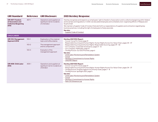| <b>GRI Standard</b>                                                                   | <b>Reference</b> | <b>GRI Disclosure</b>                                                           | <b>2021 Hershey Response</b>                                                                                                                                                                                                                                                                                                                                                                                                                                                                                               |  |  |
|---------------------------------------------------------------------------------------|------------------|---------------------------------------------------------------------------------|----------------------------------------------------------------------------------------------------------------------------------------------------------------------------------------------------------------------------------------------------------------------------------------------------------------------------------------------------------------------------------------------------------------------------------------------------------------------------------------------------------------------------|--|--|
| <b>GRI 407: Freedom</b><br>of Association and<br><b>Collective Bargaining</b><br>2016 | $407-1$          | Operations and suppliers at<br>significant risk for incidents<br>of child labor | Hershey recognizes and respects our employees' right to freedom of association and to collective bargaining within federal<br>and local laws and regulations. In 2021, we educated employees and contested union-organizing efforts in Malaysia and<br><b>Stuarts Draft.</b><br>We maintain a Supplier Code of Conduct that sets forth our expectations of suppliers and contractors regarding key<br>business practices, including the right of employees to freely associate.<br>See also:<br>• Supplier Code of Conduct |  |  |
| <b>CHILD LABOR</b>                                                                    |                  |                                                                                 |                                                                                                                                                                                                                                                                                                                                                                                                                                                                                                                            |  |  |
| <b>GRI 103: Management</b><br>Approach 2016                                           | $103 - 1$        | Explanation of the material<br>topic and its Boundaries                         | Hershey 2021 ESG Report:<br>• Cocoa: Cocoa For Good, page 21                                                                                                                                                                                                                                                                                                                                                                                                                                                               |  |  |
|                                                                                       | $103 - 2$        | The management approach<br>and its components                                   | Responsible Sourcing and Human Rights: Human Rights Across Our Value Chain, pages 34 - 37<br>• Responsible Sourcing and Human Rights: Responsible Sourcing, pages 39 - 42<br>• Our Company: Corporate Governance, pages 11 - 12                                                                                                                                                                                                                                                                                            |  |  |
|                                                                                       | $103 - 3$        | Evaluation of the<br>management approach                                        | • Our Company: Materiality, page 13<br>• The Big Picture: Our ESG Priorities, page 6<br>See also:<br>Child Labor Monitoring and Remediation System<br>Cocoa<br>· Hershey's Commitment to Human Rights<br>• UNGPRF Report                                                                                                                                                                                                                                                                                                   |  |  |
| <b>GRI 408: Child Labor</b><br>2016                                                   | $408 - 1$        | Operations and suppliers at<br>significant risk for incidents of<br>child labor | Hershey 2021 ESG Report:<br>· Cocoa: Cocoa For Good, page 21<br>• Responsible Sourcing and Human Rights: Human Rights Across Our Value Chain, pages 34 - 37<br>• The Big Picture: Progress Against Our Priority Goals, pages 7 - 8<br>• The Big Picture: Spotlight 2021, page 5<br>See also:<br>Child Labor Monitoring and Remediation System<br>Cocoa<br>• Hershey's Commitment to Human Rights<br>· Palm Oil Grievance Log                                                                                               |  |  |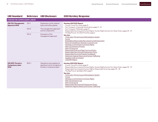| <b>GRI Standard</b>                                   | <b>Reference</b> | <b>GRI Disclosure</b>                                                                          | <b>2021 Hershey Response</b>                                                                                                                                                                                                                                                                                                                                                                                                                                                                                                                                                     |
|-------------------------------------------------------|------------------|------------------------------------------------------------------------------------------------|----------------------------------------------------------------------------------------------------------------------------------------------------------------------------------------------------------------------------------------------------------------------------------------------------------------------------------------------------------------------------------------------------------------------------------------------------------------------------------------------------------------------------------------------------------------------------------|
| <b>FORCED OR COMPULSORY LABOR</b>                     |                  |                                                                                                |                                                                                                                                                                                                                                                                                                                                                                                                                                                                                                                                                                                  |
| <b>GRI 103: Management</b><br>Approach 2016           | $103 - 1$        | Explanation of the material<br>topic and its Boundaries                                        | Hershey 2021 ESG Report:<br>• Cocoa: Cocoa For Good, page 21                                                                                                                                                                                                                                                                                                                                                                                                                                                                                                                     |
|                                                       | $103 - 2$        | The management approach<br>and its components                                                  | • Our Company: Corporate Governance, pages 11-12<br>• Our Company: Materiality, page 13<br>• Responsible Sourcing and Human Rights: Human Rights Across Our Value Chain, pages 34 - 37                                                                                                                                                                                                                                                                                                                                                                                           |
|                                                       | $103 - 3$        | Evaluation of the<br>management approach                                                       | • The Big Picture: Our ESG Priorities, page 6<br>See also:<br>Child Labor Monitoring and Remediation System<br>• Cocoa<br>• Embedding Responsible Recruitment and Employment<br>• Ethics & Compliance: Hershey's Concern Line<br>• Hershey's Commitment to Human Rights<br>• Palm Oil Grievance Process<br>• Palm Oil Sourcing<br>• Responsible Pulp and Paper Sourcing Policy<br>· Responsible Recruiting & Employment Policy<br>· Responsible Sourcing Program Guidebook<br>• Statement Against Slavery and Human Trafficking<br>• Supplier Code of Conduct<br>• UNGPRF Report |
| GRI 409: Forced or<br><b>Compulsory Labor</b><br>2016 | $409-1$          | Operations and suppliers at<br>significant risk for incidents of<br>forced or compulsory labor | Hershey 2021 ESG Report:<br>• Cocoa: Cocoa For Good, page 21<br>• Responsible Sourcing and Human Rights: Human Rights Across Our Value Chain, pages 34 - 37<br>• Responsible Sourcing and Human Rights: Responsible Sourcing, pages 39 - 42<br>• The Big Picture: Spotlight 2021, page 5<br>See also:<br>• Child Labor Monitoring and Remediation System<br>$\cdot$ Cocoa<br>• Hershey's Commitment to Human Rights<br>• Palm Oil Grievance Log<br>• Palm Oil Sourcing<br>• Responsible Recruiting & Employment Policy<br>• Statement Against Slavery and Human Trafficking      |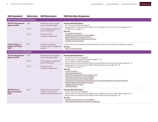| <b>GRI Standard</b>                                     | <b>Reference</b> | <b>GRI Disclosure</b>                                                                 | <b>2021 Hershey Response</b>                                                                                                                                                                                                                                                                                                                                                                                                                                                                   |
|---------------------------------------------------------|------------------|---------------------------------------------------------------------------------------|------------------------------------------------------------------------------------------------------------------------------------------------------------------------------------------------------------------------------------------------------------------------------------------------------------------------------------------------------------------------------------------------------------------------------------------------------------------------------------------------|
| <b>RIGHTS OF INDIGENOUS PEOPLES</b>                     |                  |                                                                                       |                                                                                                                                                                                                                                                                                                                                                                                                                                                                                                |
| <b>GRI 103: Management</b><br>Approach 2016             | $103 - 1$        | Explanation of the material<br>topic and its Boundaries                               | Hershey 2021 ESG Report:<br>• Our Company: Materiality, page 13                                                                                                                                                                                                                                                                                                                                                                                                                                |
|                                                         | $103 - 2$        | The management approach<br>and its components                                         | · Responsible Sourcing and Human Rights: Human Rights Across Our Value Chain, pages 34-37<br>$\cdot$ The Big Picture, pages 3 - 9<br>See also:                                                                                                                                                                                                                                                                                                                                                 |
|                                                         | $103 - 3$        | Evaluation of the<br>management approach                                              | • Corporate Governance<br>Hershey's Commitment to Human Rights<br>Responsible Palm Oil Sourcing Policy<br>· Responsible Pulp and Paper Sourcing Policy<br>• Supplier Code of Conduct                                                                                                                                                                                                                                                                                                           |
| GRI 411: Rights of<br><b>Indigenous Peoples</b><br>2016 | $411 - 1$        | Incidents of violations<br>involving rights of indigenous<br>peoples                  | In 2021, The Hershey Company identified a palm oil incident involving rights of indigenous peoples.<br>See also:<br>· Palm Oil Grievance Log                                                                                                                                                                                                                                                                                                                                                   |
| <b>HUMAN RIGHTS ASSESSMENT</b>                          |                  |                                                                                       |                                                                                                                                                                                                                                                                                                                                                                                                                                                                                                |
| GRI 103: Management<br>Approach 2016                    | $103-1$          | Explanation of the material<br>topic and its Boundaries                               | Hershey 2021 ESG Report:<br>• Cocoa: Cocoa For Good, page 21                                                                                                                                                                                                                                                                                                                                                                                                                                   |
|                                                         | $103 - 2$        | The management approach<br>and its components                                         | • Our Company: Corporate Governance, pages 11 - 12<br>• Our Company: Materiality, page 13<br>Responsible Sourcing and Human Rights: Human Rights Across Our Value Chain, pages 34 - 37                                                                                                                                                                                                                                                                                                         |
|                                                         | $103 - 3$        | Evaluation of the<br>management approach                                              | Responsible Sourcing and Human Rights: Responsible Sourcing, pages 39 - 42<br>$\cdot$ The Big Picture, pages $3 - 9$<br>See also:<br>Code of Conduct<br>Corporate Governance<br>Ethics & Compliance: Hershey's Concern Line<br>• Hershey's Commitment to Human Rights<br>Joining Forces to Protect Human Rights<br>Procedures For Submission And Handling Of Complaints Regarding Compliance Matters<br>Responsible Sourcing Supplier Program<br>• Supplier Code of Conduct<br>• UNGPRF Report |
| GRI 412: Human<br><b>Rights Assessment</b><br>2016      | $412 - 1$        | Operations that have been<br>subject to human rights<br>reviews or impact assessments | Hershey 2021 ESG Report:<br>• Cocoa: Cocoa For Good, page 21<br>Responsible Sourcing and Human Rights: Human Rights Across Our Value Chain, pages 34 - 37<br>· Responsible Sourcing and Human Rights: Responsible Sourcing, pages 39 - 42<br>See also:<br>Hershey's Commitment to Human Rights<br>· Statement Against Slavery and Human Trafficking                                                                                                                                            |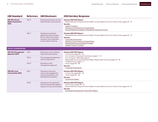| <b>GRI Standard</b>                                | <b>Reference</b> | <b>GRI Disclosure</b>                                                                                                                  | <b>2021 Hershey Response</b>                                                                                                                                                                                                                                                         |  |  |
|----------------------------------------------------|------------------|----------------------------------------------------------------------------------------------------------------------------------------|--------------------------------------------------------------------------------------------------------------------------------------------------------------------------------------------------------------------------------------------------------------------------------------|--|--|
| GRI 412: Human<br><b>Rights Assessment</b><br>2016 | $412 - 2$        | Employee training on human<br>rights policies or procedures                                                                            | Hershey 2021 ESG Report:<br>Responsible Sourcing and Human Rights: Human Rights Across Our Value Chain, pages 34 - 37<br>See also:<br>Code of Conduct<br>• Hershey's Commitment to Human Rights<br>• Human Rights Due Diligence: Mandatory Employee Training                         |  |  |
|                                                    | $412 - 3$        | Significant investment<br>agreements and contracts<br>that include human rights<br>clauses or that underwent<br>human rights screening | Hershey 2021 ESG Report:<br>• Responsible Sourcing and Human Rights: Human Rights Across Our Value Chain, pages 34 - 37<br>See also:<br>• Corporate Governance<br>• Hershey's Commitment to Human Rights<br>Responsible Sourcing Supplier Program<br><b>Supplier Code of Conduct</b> |  |  |
| <b>LOCAL COMMUNITIES</b>                           |                  |                                                                                                                                        |                                                                                                                                                                                                                                                                                      |  |  |
| GRI 103: Management<br>Approach 2016               | $103-1$          | Explanation of the material<br>topic and its Boundaries                                                                                | Hershey 2021 ESG Report:<br>• Community, pages 86 - 92<br>• Our Company: Corporate Governance, pages 11 - 12                                                                                                                                                                         |  |  |
|                                                    | $103 - 2$        | The management approach<br>and its components                                                                                          | • Our Company: Materiality, page 13<br>• Responsible Sourcing and Human Rights: Responsible Sourcing, pages 39 - 42                                                                                                                                                                  |  |  |
|                                                    | $103 - 3$        | Evaluation of the<br>management approach                                                                                               | The Big Picture, pages $3 - 9$<br>$\cdot$ Youth, pages 80 - 85<br>See also:<br>• Corporate Governance                                                                                                                                                                                |  |  |
| GRI 413: Local<br><b>Communities 2016</b>          | $413 - 1$        | Operations with local<br>community engagement,<br>impact assessments, and<br>development programs                                      | Hershey 2021 ESG Report:<br>• Community, pages 86 - 92<br>$\cdot$ Youth, pages 80 - 85<br>See also:<br>• Community Impact                                                                                                                                                            |  |  |
|                                                    | $413 - 2$        | Operations with significant<br>actual and potential negative<br>impacts on local communities                                           | Hershey 2021 ESG Report:<br>Environment, pages 48 - 61<br>Responsible Sourcing and Human Rights: Human Rights Across Our Value Chain, pages 34 - 37<br>See also:<br>· Sustainable Development Goals (SDG) Report                                                                     |  |  |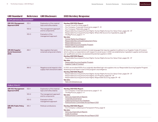| <b>GRI Standard</b>                                   |           | Reference GRI Disclosure                                         | <b>2021 Hershey Response</b>                                                                                                                                                                                                                                                                                                                                                                                                                                                                                                                  |
|-------------------------------------------------------|-----------|------------------------------------------------------------------|-----------------------------------------------------------------------------------------------------------------------------------------------------------------------------------------------------------------------------------------------------------------------------------------------------------------------------------------------------------------------------------------------------------------------------------------------------------------------------------------------------------------------------------------------|
| <b>SUPPLIER SOCIAL ASSESSMENT</b>                     |           |                                                                  |                                                                                                                                                                                                                                                                                                                                                                                                                                                                                                                                               |
| <b>GRI 103: Management</b><br>Approach 2016           | $103-1$   | Explanation of the material<br>topic and its Boundaries          | Hershey 2021 ESG Report:<br>• Cocoa: Cocoa For Good, page 21<br>Our Company: Corporate Governance, pages 11 - 12                                                                                                                                                                                                                                                                                                                                                                                                                              |
|                                                       | $103 - 2$ | The management approach<br>and its components                    | • Our Company: Materiality, page 13<br>· Responsible Sourcing and Human Rights: Human Rights Across Our Value Chain, pages 34-37                                                                                                                                                                                                                                                                                                                                                                                                              |
|                                                       | $103 - 3$ | Evaluation of the<br>management approach                         | • Responsible Sourcing and Human Rights: Where We Source Our Ingredients, page 38<br>• The Big Picture, pages 3 - 9<br>See also:<br>• Human Rights Due Diligence<br>Responsible Recruiting & Employment Policy<br>Responsible Sourcing<br>• Responsible Sourcing Supplier Program<br>· Supplier Code of Conduct                                                                                                                                                                                                                               |
| GRI 414: Supplier<br><b>Social Assessment</b><br>2016 | $414 - 1$ | New suppliers that were<br>screened using social criteria        | All Hershey commercial contracts include language that requires suppliers to adhere to our Supplier Code of Conduct,<br>which outlines our expectations with respect to social issues. In 2021, we established an ingredient supplier and licensee<br>pre-qualification process; we assessed 32 potential suppliers in 2021.<br>Hershey 2021 ESG Report:<br>• Responsible Sourcing and Human Rights: Human Rights Across Our Value Chain, pages 34 - 37<br>See also:<br>• Responsible Sourcing Supplier Program<br>• Supplier Code of Conduct |
|                                                       | $414 - 2$ | Negative social impacts in the<br>supply chain and actions taken | In 2021, we enrolled 100% of our originally identified high-risk suppliers into our Responsible Sourcing Supplier Program.<br>Assessing social impact is part of the program's due diligence.<br>Hershey 2021 ESG Report:<br>• Responsible Sourcing and Human Rights: Human Rights Across Our Value Chain, pages 34 - 37<br>· Responsible Sourcing and Human Rights: Our Progress, pages 43 - 47<br>· Responsible Sourcing and Human Rights: Responsible Sourcing, pages 39 - 42<br>See also:<br>• Palm Oil Grievance Log                     |
| <b>PUBLIC POLICY</b>                                  |           |                                                                  |                                                                                                                                                                                                                                                                                                                                                                                                                                                                                                                                               |
| GRI 103: Management<br>Approach 2016                  | $103 - 1$ | Explanation of the material<br>topic and its Boundaries          | Hershey 2021 ESG Report:<br>• Our Company: Corporate Governance, pages 11 - 12                                                                                                                                                                                                                                                                                                                                                                                                                                                                |
|                                                       | $103 - 2$ | The management approach<br>and its components                    | $\cdot$ The Big Picture, pages 3 - 9<br>See also:<br>· Advocacy Expenditure Reports                                                                                                                                                                                                                                                                                                                                                                                                                                                           |
|                                                       | $103 - 3$ | Evaluation of the<br>management approach                         | Corporate Governance<br>• Lobbying Disclosure Act Database<br>• Political Action Committee Annual Report 2021                                                                                                                                                                                                                                                                                                                                                                                                                                 |
| <b>GRI 415: Public Policy</b><br>2016                 | $415 - 1$ | Political contributions                                          | Hershey 2021 ESG Report:<br>• Our Company: Lobbying and Transparent Policy, page 12<br>See also:<br><b>Advocacy Expenditure Reports</b><br>• Code of Conduct<br>Political Action Committee Annual Report 2021                                                                                                                                                                                                                                                                                                                                 |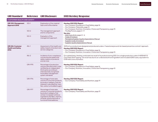| <b>GRI Standard</b>                                          | <b>Reference</b> | <b>GRI Disclosure</b>                                                                                                                                                                                                   | <b>2021 Hershey Response</b>                                                                                                                                                                                                                                                     |
|--------------------------------------------------------------|------------------|-------------------------------------------------------------------------------------------------------------------------------------------------------------------------------------------------------------------------|----------------------------------------------------------------------------------------------------------------------------------------------------------------------------------------------------------------------------------------------------------------------------------|
| <b>CUSTOMER HEALTH AND SAFETY</b>                            |                  |                                                                                                                                                                                                                         |                                                                                                                                                                                                                                                                                  |
| <b>GRI 103: Management</b><br>Approach 2016                  | $103 - 1$        | Explanation of the material<br>topic and its Boundaries                                                                                                                                                                 | Hershey 2021 ESG Report:<br>• Our Company: Excellence in Food Safety, page 16<br>• Our Company: Materiality, page 13<br>• Our Company: Nutrition, Innovation, Choice and Transparency, page 15                                                                                   |
|                                                              | $103 - 2$        | The management approach<br>and its components                                                                                                                                                                           | • The Big Picture, pages 3 - 9<br>See also:                                                                                                                                                                                                                                      |
|                                                              | $103 - 3$        | Evaluation of the<br>management approach                                                                                                                                                                                | 2021 Form 10-K, pages 5 - 6<br>• Code of Conduct<br>• Packaging Supplier Quality Expectations Manual<br>• Supplier Code of Conduct<br>· Supplier Quality Expectations Manual                                                                                                     |
| <b>GRI 416: Customer</b><br><b>Health and Safety</b><br>2016 | $416 - 1$        | Assessment of the health and<br>safety impacts of product and<br>service categories                                                                                                                                     | 100% of our products are designed and produced under a "hazard analysis and risk-based preventive controls" approach.<br>Hershey 2021 ESG Report:<br>• Our Company: Excellence in Food Safety, page 16<br>• Our Company: Nutrition, Innovation, Choice and Transparency, page 15 |
|                                                              | $416 - 2$        | Incidents of non-compliance<br>concerning the health and<br>safety impacts of products<br>and services                                                                                                                  | On a global basis, Hershey conducted one recall of its products during 2021, for a single production code of HERSHEY'S<br>Chocolate Shell Topping. The recall was due to an undeclared almond ingredient and included 4,850 cases, equivalent to<br>5.98 metric tons of product. |
|                                                              | GRI-FP5          | Percentage of production<br>volume manufactured in sites<br>certified by an independent<br>third-party according to<br>internationally recognized<br>food safety management<br>system standards                         | Hershey 2021 ESG Report:<br>• Our Company: Excellence in Food Safety, page 16<br>• Our Company: Nutrition, Innovation, Choice and Transparency, page 15                                                                                                                          |
|                                                              | GRI-FP6          | Percentage of total sales<br>volume of consumer products,<br>by product category, that are<br>lowered in saturated fat, trans<br>fats, sodium and added sugars                                                          | Hershey 2021 ESG Report:<br>• Our Company: Food Safety and Nutrition, page 19                                                                                                                                                                                                    |
|                                                              | GRI-FP7          | Percentage of total sales<br>volume of consumer products,<br>by product category, that<br>contain increased nutritious<br>ingredients like fiber, vitamins,<br>minerals, phytochemicals or<br>functional food additives | Hershey 2021 ESG Report:<br>• Our Company: Food Safety and Nutrition, page 19                                                                                                                                                                                                    |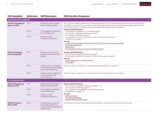| <b>GRI Standard</b>                            |           | Reference GRI Disclosure                                                                              | <b>2021 Hershey Response</b>                                                                                                                                                                                                                                                                                                   |
|------------------------------------------------|-----------|-------------------------------------------------------------------------------------------------------|--------------------------------------------------------------------------------------------------------------------------------------------------------------------------------------------------------------------------------------------------------------------------------------------------------------------------------|
| <b>MARKETING AND LABELING</b>                  |           |                                                                                                       |                                                                                                                                                                                                                                                                                                                                |
| <b>GRI 103: Management</b><br>Approach 2016    | $103-1$   | Explanation of the material<br>topic and its Boundaries                                               | Our Consumer Relations department reviews and answers all consumer-related questions and concerns about the<br>ingredients and labeling on our products. It also proactively reviews social media posts and engages with individual<br>consumers to ensure our labeling and marketing practices align with their expectations. |
|                                                | $103 - 2$ | The management approach<br>and its components                                                         | Hershey 2021 ESG Report:<br>• Our Company: Excellence in Food Safety, page 16<br>• Our Company: Marketing Responsibly, page 17                                                                                                                                                                                                 |
|                                                | $103 - 3$ | Evaluation of the<br>management approach                                                              | • Our Company: Materiality, page 13<br>• Our Company: Nutrition, Innovation, Choice and Transparency, page 15<br>• The Big Picture, pages 3 - 9                                                                                                                                                                                |
|                                                |           |                                                                                                       | See also:<br>• Children's Food and Beverage Advertising Initiative: The Hershey Company Pledge<br>• Corporate Governance<br>• SmartLabel™<br>· The Ingredients Inside your Favorite Hershey Products                                                                                                                           |
| <b>GRI 417: Marketing</b><br>and Labeling 2016 | $417 - 1$ | Requirements for product<br>and service information and<br>labeling                                   | Hershey 2021 ESG Report:<br>• Our Company: Marketing Responsibly, page 17<br>• Our Company: Nutrition, Innovation, Choice and Transparency, page 15<br>See also:<br>• Position Statement on GMO Disclosures<br>• SmartLabel™                                                                                                   |
|                                                | $417 - 2$ | Incidents of non-compliance<br>concerning product and service<br>information and labeling             | There have been no material noncompliances with labeling laws or regulations.                                                                                                                                                                                                                                                  |
|                                                | $417 - 3$ | Incidents of non-compliance<br>concerning marketing<br>communications                                 | There have been no material noncompliances concerning marketing communications.                                                                                                                                                                                                                                                |
| <b>CUSTOMER PRIVACY</b>                        |           |                                                                                                       |                                                                                                                                                                                                                                                                                                                                |
| <b>GRI 103: Management</b><br>Approach 2016    | $103-1$   | Explanation of the material<br>topic and its Boundaries                                               | Hershey 2021 ESG Report:<br>• Our Company: Corporate Governance, pages 11 - 12<br>• Our Company: Materiality, page 13                                                                                                                                                                                                          |
|                                                | $103 - 2$ | The management approach<br>and its components                                                         | · Our Company: Staying Agile Through Change, page 18<br>• The Big Picture, pages 3 - 9                                                                                                                                                                                                                                         |
|                                                | $103 - 3$ | Evaluation of the<br>management approach                                                              | See also:<br>• Code of Conduct<br>• Corporate Governance<br>• Hershey Website Privacy Policy                                                                                                                                                                                                                                   |
| <b>GRI 418: Customer</b><br>Privacy 2016       | $418 - 1$ | Substantiated complaints<br>concerning breaches of<br>customer privacy and losses of<br>customer data | Hershey has not received any substantiated complaints concerning breaches of customer privacy.                                                                                                                                                                                                                                 |